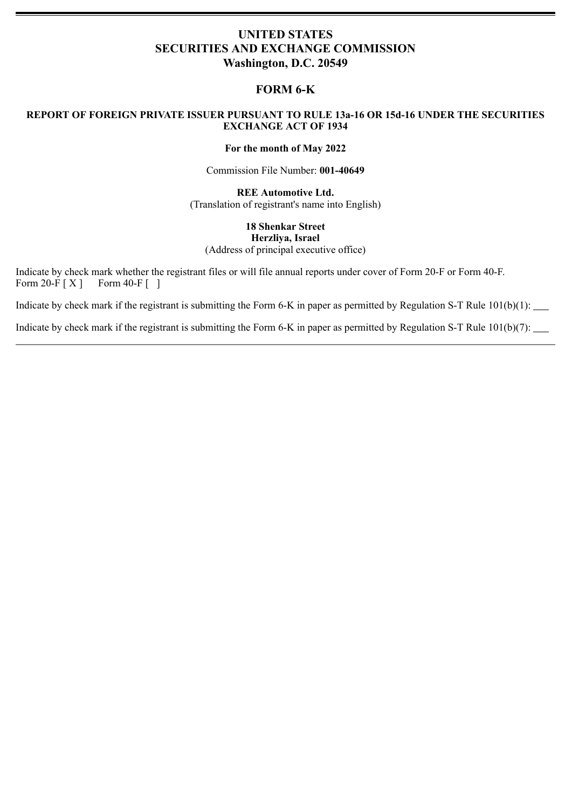# **UNITED STATES SECURITIES AND EXCHANGE COMMISSION Washington, D.C. 20549**

# **FORM 6-K**

# **REPORT OF FOREIGN PRIVATE ISSUER PURSUANT TO RULE 13a-16 OR 15d-16 UNDER THE SECURITIES EXCHANGE ACT OF 1934**

### **For the month of May 2022**

Commission File Number: **001-40649**

**REE Automotive Ltd.** (Translation of registrant's name into English)

# **18 Shenkar Street Herzliya, Israel** (Address of principal executive office)

Indicate by check mark whether the registrant files or will file annual reports under cover of Form 20-F or Form 40-F. Form 20-F  $[X]$  Form 40-F  $\left[ \begin{array}{c} 1 \end{array} \right]$ 

Indicate by check mark if the registrant is submitting the Form 6-K in paper as permitted by Regulation S-T Rule 101(b)(1):

Indicate by check mark if the registrant is submitting the Form 6-K in paper as permitted by Regulation S-T Rule 101(b)(7):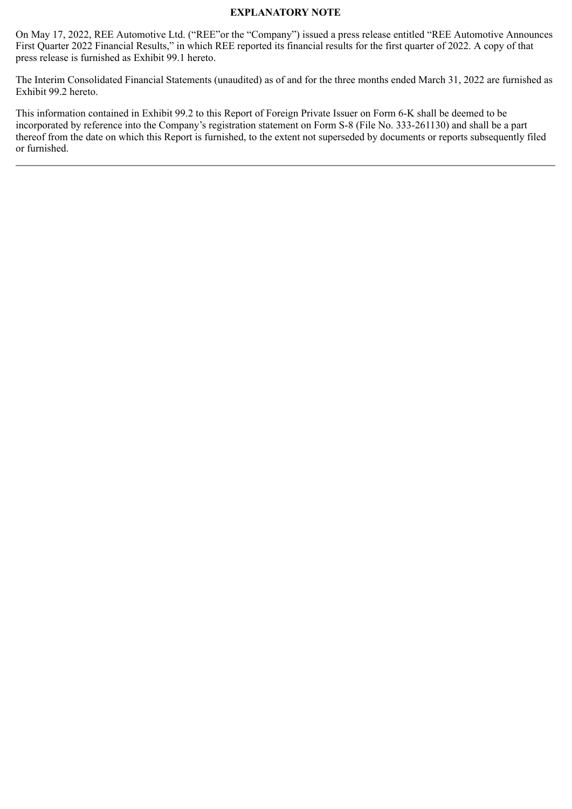# **EXPLANATORY NOTE**

On May 17, 2022, REE Automotive Ltd. ("REE"or the "Company") issued a press release entitled "REE Automotive Announces First Quarter 2022 Financial Results," in which REE reported its financial results for the first quarter of 2022. A copy of that press release is furnished as Exhibit 99.1 hereto.

The Interim Consolidated Financial Statements (unaudited) as of and for the three months ended March 31, 2022 are furnished as Exhibit 99.2 hereto.

This information contained in Exhibit 99.2 to this Report of Foreign Private Issuer on Form 6-K shall be deemed to be incorporated by reference into the Company's registration statement on Form S-8 (File No. 333-261130) and shall be a part thereof from the date on which this Report is furnished, to the extent not superseded by documents or reports subsequently filed or furnished.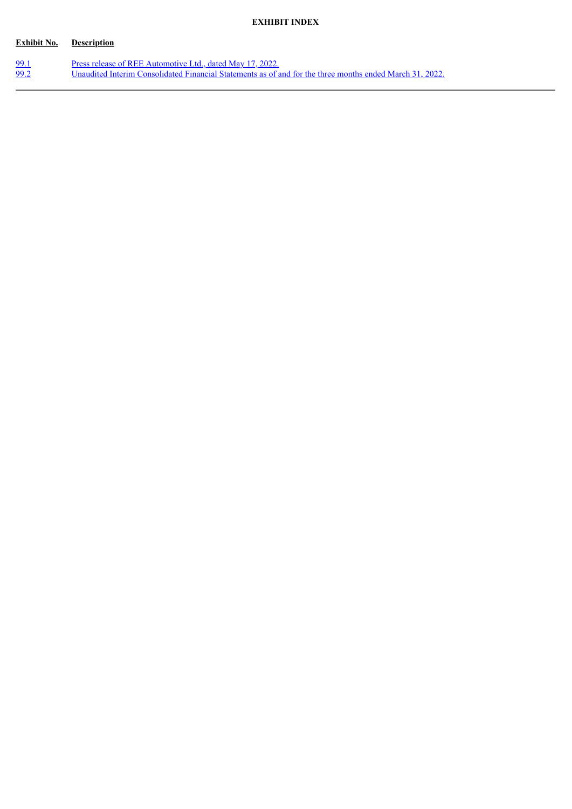# **EXHIBIT INDEX**

# **Exhibit No. Description**

| 99.1 | Press release of REE Automotive Ltd., dated May 17, 2022.                                                |
|------|----------------------------------------------------------------------------------------------------------|
| 99.2 | Unaudited Interim Consolidated Financial Statements as of and for the three months ended March 31, 2022. |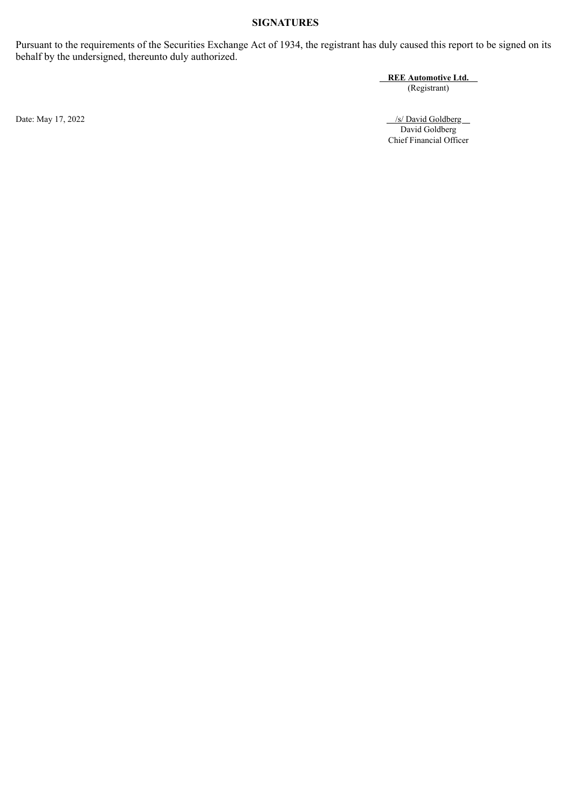# **SIGNATURES**

Pursuant to the requirements of the Securities Exchange Act of 1934, the registrant has duly caused this report to be signed on its behalf by the undersigned, thereunto duly authorized.

> **REE Automotive Ltd.** (Registrant)

Date: May 17, 2022 /s/ David Goldberg /s/ David Goldberg /s/ David Goldberg /s/ David Goldberg /s/ David Goldberg /s/ David Goldberg /s/ David Goldberg /s/ David Goldberg /s/ David Goldberg /s/ David Goldberg /s/ David Gol David Goldberg Chief Financial Officer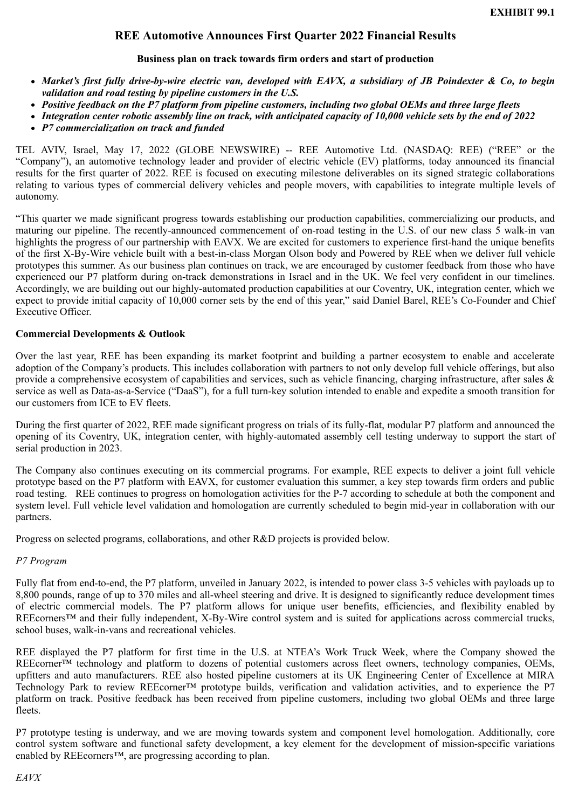# **REE Automotive Announces First Quarter 2022 Financial Results**

# **Business plan on track towards firm orders and start of production**

- <span id="page-4-0"></span>*Market's first fully drive-by-wire electric van, developed with EAVX, a subsidiary of JB Poindexter & Co, to begin validation and road testing by pipeline customers in the U.S.*
- *Positive feedback on the P7 platform from pipeline customers, including two global OEMs and three large fleets*
- *Integration center robotic assembly line on track, with anticipated capacity of 10,000 vehicle sets by the end of 2022*
- *P7 commercialization on track and funded*

TEL AVIV, Israel, May 17, 2022 (GLOBE NEWSWIRE) -- REE Automotive Ltd. (NASDAQ: REE) ("REE" or the "Company"), an automotive technology leader and provider of electric vehicle (EV) platforms, today announced its financial results for the first quarter of 2022. REE is focused on executing milestone deliverables on its signed strategic collaborations relating to various types of commercial delivery vehicles and people movers, with capabilities to integrate multiple levels of autonomy.

"This quarter we made significant progress towards establishing our production capabilities, commercializing our products, and maturing our pipeline. The recently-announced commencement of on-road testing in the U.S. of our new class 5 walk-in van highlights the progress of our partnership with EAVX. We are excited for customers to experience first-hand the unique benefits of the first X-By-Wire vehicle built with a best-in-class Morgan Olson body and Powered by REE when we deliver full vehicle prototypes this summer. As our business plan continues on track, we are encouraged by customer feedback from those who have experienced our P7 platform during on-track demonstrations in Israel and in the UK. We feel very confident in our timelines. Accordingly, we are building out our highly-automated production capabilities at our Coventry, UK, integration center, which we expect to provide initial capacity of 10,000 corner sets by the end of this year," said Daniel Barel, REE's Co-Founder and Chief Executive Officer.

# **Commercial Developments & Outlook**

Over the last year, REE has been expanding its market footprint and building a partner ecosystem to enable and accelerate adoption of the Company's products. This includes collaboration with partners to not only develop full vehicle offerings, but also provide a comprehensive ecosystem of capabilities and services, such as vehicle financing, charging infrastructure, after sales  $\&$ service as well as Data-as-a-Service ("DaaS"), for a full turn-key solution intended to enable and expedite a smooth transition for our customers from ICE to EV fleets.

During the first quarter of 2022, REE made significant progress on trials of its fully-flat, modular P7 platform and announced the opening of its Coventry, UK, integration center, with highly-automated assembly cell testing underway to support the start of serial production in 2023.

The Company also continues executing on its commercial programs. For example, REE expects to deliver a joint full vehicle prototype based on the P7 platform with EAVX, for customer evaluation this summer, a key step towards firm orders and public road testing. REE continues to progress on homologation activities for the P-7 according to schedule at both the component and system level. Full vehicle level validation and homologation are currently scheduled to begin mid-year in collaboration with our partners.

Progress on selected programs, collaborations, and other R&D projects is provided below.

# *P7 Program*

Fully flat from end-to-end, the P7 platform, unveiled in January 2022, is intended to power class 3-5 vehicles with payloads up to 8,800 pounds, range of up to 370 miles and all-wheel steering and drive. It is designed to significantly reduce development times of electric commercial models. The P7 platform allows for unique user benefits, efficiencies, and flexibility enabled by REEcorners™ and their fully independent, X-By-Wire control system and is suited for applications across commercial trucks, school buses, walk-in-vans and recreational vehicles.

REE displayed the P7 platform for first time in the U.S. at NTEA's Work Truck Week, where the Company showed the REEcorner™ technology and platform to dozens of potential customers across fleet owners, technology companies, OEMs, upfitters and auto manufacturers. REE also hosted pipeline customers at its UK Engineering Center of Excellence at MIRA Technology Park to review REEcorner™ prototype builds, verification and validation activities, and to experience the P7 platform on track. Positive feedback has been received from pipeline customers, including two global OEMs and three large fleets.

P7 prototype testing is underway, and we are moving towards system and component level homologation. Additionally, core control system software and functional safety development, a key element for the development of mission-specific variations enabled by REEcorners™, are progressing according to plan.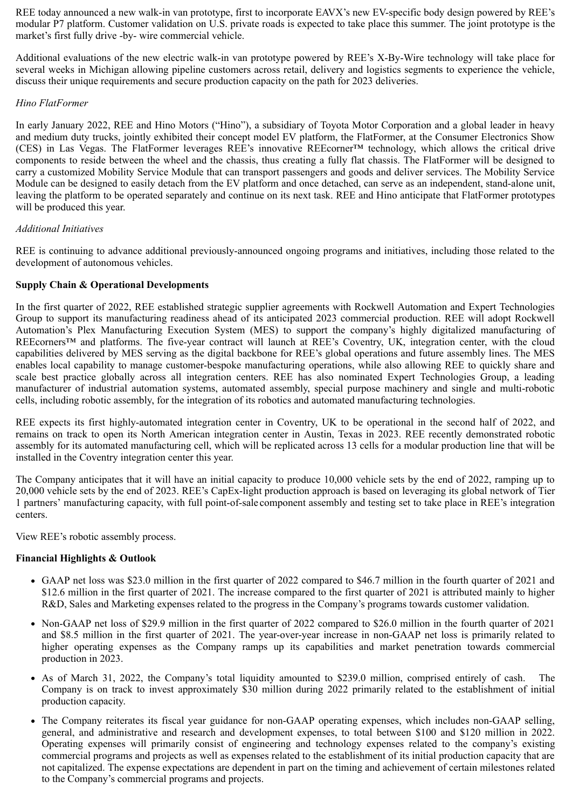REE today announced a new walk-in van prototype, first to incorporate EAVX's new EV-specific body design powered by REE's modular P7 platform. Customer validation on U.S. private roads is expected to take place this summer. The joint prototype is the market's first fully drive -by- wire commercial vehicle.

Additional evaluations of the new electric walk-in van prototype powered by REE's X-By-Wire technology will take place for several weeks in Michigan allowing pipeline customers across retail, delivery and logistics segments to experience the vehicle, discuss their unique requirements and secure production capacity on the path for 2023 deliveries.

# *Hino FlatFormer*

In early January 2022, REE and Hino Motors ("Hino"), a subsidiary of Toyota Motor Corporation and a global leader in heavy and medium duty trucks, jointly exhibited their concept model EV platform, the FlatFormer, at the Consumer Electronics Show (CES) in Las Vegas. The FlatFormer leverages REE's innovative REEcorner™ technology, which allows the critical drive components to reside between the wheel and the chassis, thus creating a fully flat chassis. The FlatFormer will be designed to carry a customized Mobility Service Module that can transport passengers and goods and deliver services. The Mobility Service Module can be designed to easily detach from the EV platform and once detached, can serve as an independent, stand-alone unit, leaving the platform to be operated separately and continue on its next task. REE and Hino anticipate that FlatFormer prototypes will be produced this year.

# *Additional Initiatives*

REE is continuing to advance additional previously-announced ongoing programs and initiatives, including those related to the development of autonomous vehicles.

# **Supply Chain & Operational Developments**

In the first quarter of 2022, REE established strategic supplier agreements with Rockwell Automation and Expert Technologies Group to support its manufacturing readiness ahead of its anticipated 2023 commercial production. REE will adopt Rockwell Automation's Plex Manufacturing Execution System (MES) to support the company's highly digitalized manufacturing of REEcorners™ and platforms. The five-year contract will launch at REE's Coventry, UK, integration center, with the cloud capabilities delivered by MES serving as the digital backbone for REE's global operations and future assembly lines. The MES enables local capability to manage customer-bespoke manufacturing operations, while also allowing REE to quickly share and scale best practice globally across all integration centers. REE has also nominated Expert Technologies Group, a leading manufacturer of industrial automation systems, automated assembly, special purpose machinery and single and multi-robotic cells, including robotic assembly, for the integration of its robotics and automated manufacturing technologies.

REE expects its first highly-automated integration center in Coventry, UK to be operational in the second half of 2022, and remains on track to open its North American integration center in Austin, Texas in 2023. REE recently demonstrated robotic assembly for its automated manufacturing cell, which will be replicated across 13 cells for a modular production line that will be installed in the Coventry integration center this year.

The Company anticipates that it will have an initial capacity to produce 10,000 vehicle sets by the end of 2022, ramping up to 20,000 vehicle sets by the end of 2023. REE's CapEx-light production approach is based on leveraging its global network of Tier 1 partners' manufacturing capacity, with full point-of-sale component assembly and testing set to take place in REE's integration centers.

View REE's robotic assembly process.

# **Financial Highlights & Outlook**

- GAAP net loss was \$23.0 million in the first quarter of 2022 compared to \$46.7 million in the fourth quarter of 2021 and \$12.6 million in the first quarter of 2021. The increase compared to the first quarter of 2021 is attributed mainly to higher R&D, Sales and Marketing expenses related to the progress in the Company's programs towards customer validation.
- Non-GAAP net loss of \$29.9 million in the first quarter of 2022 compared to \$26.0 million in the fourth quarter of 2021 and \$8.5 million in the first quarter of 2021. The year-over-year increase in non-GAAP net loss is primarily related to higher operating expenses as the Company ramps up its capabilities and market penetration towards commercial production in 2023.
- As of March 31, 2022, the Company's total liquidity amounted to \$239.0 million, comprised entirely of cash. The Company is on track to invest approximately \$30 million during 2022 primarily related to the establishment of initial production capacity.
- The Company reiterates its fiscal year guidance for non-GAAP operating expenses, which includes non-GAAP selling, general, and administrative and research and development expenses, to total between \$100 and \$120 million in 2022. Operating expenses will primarily consist of engineering and technology expenses related to the company's existing commercial programs and projects as well as expenses related to the establishment of its initial production capacity that are not capitalized. The expense expectations are dependent in part on the timing and achievement of certain milestones related to the Company's commercial programs and projects.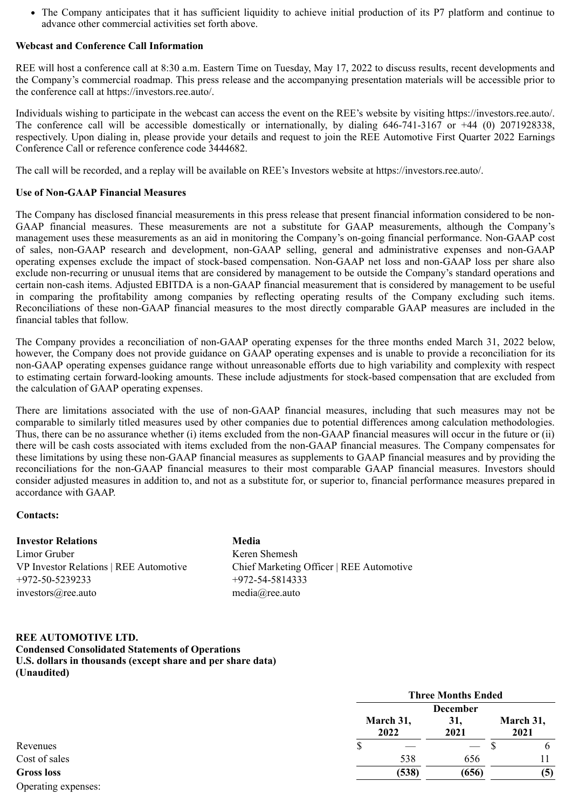• The Company anticipates that it has sufficient liquidity to achieve initial production of its P7 platform and continue to advance other commercial activities set forth above.

# **Webcast and Conference Call Information**

REE will host a conference call at 8:30 a.m. Eastern Time on Tuesday, May 17, 2022 to discuss results, recent developments and the Company's commercial roadmap. This press release and the accompanying presentation materials will be accessible prior to the conference call at https://investors.ree.auto/.

Individuals wishing to participate in the webcast can access the event on the REE's website by visiting https://investors.ree.auto/. The conference call will be accessible domestically or internationally, by dialing 646-741-3167 or +44 (0) 2071928338, respectively. Upon dialing in, please provide your details and request to join the REE Automotive First Quarter 2022 Earnings Conference Call or reference conference code 3444682.

The call will be recorded, and a replay will be available on REE's Investors website at https://investors.ree.auto/.

# **Use of Non-GAAP Financial Measures**

The Company has disclosed financial measurements in this press release that present financial information considered to be non-GAAP financial measures. These measurements are not a substitute for GAAP measurements, although the Company's management uses these measurements as an aid in monitoring the Company's on-going financial performance. Non-GAAP cost of sales, non-GAAP research and development, non-GAAP selling, general and administrative expenses and non-GAAP operating expenses exclude the impact of stock-based compensation. Non-GAAP net loss and non-GAAP loss per share also exclude non-recurring or unusual items that are considered by management to be outside the Company's standard operations and certain non-cash items. Adjusted EBITDA is a non-GAAP financial measurement that is considered by management to be useful in comparing the profitability among companies by reflecting operating results of the Company excluding such items. Reconciliations of these non-GAAP financial measures to the most directly comparable GAAP measures are included in the financial tables that follow.

The Company provides a reconciliation of non-GAAP operating expenses for the three months ended March 31, 2022 below, however, the Company does not provide guidance on GAAP operating expenses and is unable to provide a reconciliation for its non-GAAP operating expenses guidance range without unreasonable efforts due to high variability and complexity with respect to estimating certain forward-looking amounts. These include adjustments for stock-based compensation that are excluded from the calculation of GAAP operating expenses.

There are limitations associated with the use of non-GAAP financial measures, including that such measures may not be comparable to similarly titled measures used by other companies due to potential differences among calculation methodologies. Thus, there can be no assurance whether (i) items excluded from the non-GAAP financial measures will occur in the future or (ii) there will be cash costs associated with items excluded from the non-GAAP financial measures. The Company compensates for these limitations by using these non-GAAP financial measures as supplements to GAAP financial measures and by providing the reconciliations for the non-GAAP financial measures to their most comparable GAAP financial measures. Investors should consider adjusted measures in addition to, and not as a substitute for, or superior to, financial performance measures prepared in accordance with GAAP.

## **Contacts:**

# **Investor Relations Media**

Limor Gruber Keren Shemesh +972-50-5239233 +972-54-5814333 investors@ree.auto media@ree.auto

VP Investor Relations | REE Automotive Chief Marketing Officer | REE Automotive

## **REE AUTOMOTIVE LTD.**

**Condensed Consolidated Statements of Operations U.S. dollars in thousands (except share and per share data)**

**(Unaudited)**

|                     |   | <b>Three Months Ended</b> |                                |                   |  |
|---------------------|---|---------------------------|--------------------------------|-------------------|--|
|                     |   | March 31,<br>2022         | <b>December</b><br>31,<br>2021 | March 31,<br>2021 |  |
| Revenues            | Φ |                           |                                | b<br>╜            |  |
| Cost of sales       |   | 538                       | 656                            |                   |  |
| <b>Gross loss</b>   |   | (538)                     | (656)                          | (5)               |  |
| Operating expenses: |   |                           |                                |                   |  |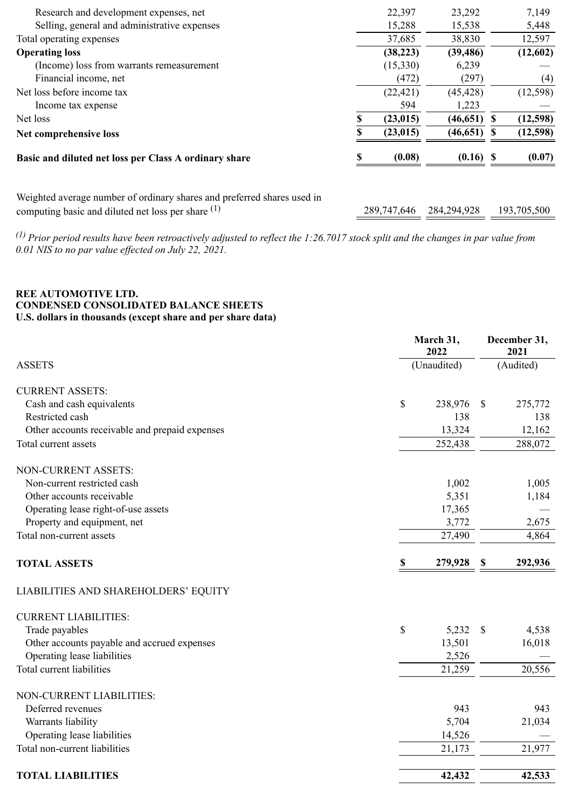| Research and development expenses, net                                                                                          | 22,397      | 23,292      |              | 7,149       |
|---------------------------------------------------------------------------------------------------------------------------------|-------------|-------------|--------------|-------------|
| Selling, general and administrative expenses                                                                                    | 15,288      | 15,538      |              | 5,448       |
| Total operating expenses                                                                                                        | 37,685      | 38,830      |              | 12,597      |
| <b>Operating loss</b>                                                                                                           | (38, 223)   | (39, 486)   |              | (12,602)    |
| (Income) loss from warrants remeasurement                                                                                       | (15,330)    | 6,239       |              |             |
| Financial income, net                                                                                                           | (472)       | (297)       |              | (4)         |
| Net loss before income tax                                                                                                      | (22, 421)   | (45, 428)   |              | (12, 598)   |
| Income tax expense                                                                                                              | 594         | 1,223       |              |             |
| Net loss                                                                                                                        | (23, 015)   | (46, 651)   | <sup>S</sup> | (12,598)    |
| Net comprehensive loss                                                                                                          | (23, 015)   | (46, 651)   | \$.          | (12,598)    |
| Basic and diluted net loss per Class A ordinary share                                                                           | (0.08)      | $(0.16)$ \$ |              | (0.07)      |
| Weighted average number of ordinary shares and preferred shares used in<br>computing basic and diluted net loss per share $(1)$ | 289,747,646 | 284,294,928 |              | 193,705,500 |
|                                                                                                                                 |             |             |              |             |

*(1) Prior period results have been retroactively adjusted to reflect the 1:26.7017 stock split and the changes in par value from 0.01 NIS to no par value effected on July 22, 2021.*

# **REE AUTOMOTIVE LTD. CONDENSED CONSOLIDATED BALANCE SHEETS U.S. dollars in thousands (except share and per share data)**

|                                                | March 31,<br>2022 |             | December 31,<br>2021 |           |  |
|------------------------------------------------|-------------------|-------------|----------------------|-----------|--|
| <b>ASSETS</b>                                  |                   | (Unaudited) |                      | (Audited) |  |
| <b>CURRENT ASSETS:</b>                         |                   |             |                      |           |  |
| Cash and cash equivalents                      | \$                | 238,976     | $\mathcal{S}$        | 275,772   |  |
| Restricted cash                                |                   | 138         |                      | 138       |  |
| Other accounts receivable and prepaid expenses |                   | 13,324      |                      | 12,162    |  |
| Total current assets                           |                   | 252,438     |                      | 288,072   |  |
| NON-CURRENT ASSETS:                            |                   |             |                      |           |  |
| Non-current restricted cash                    |                   | 1,002       |                      | 1,005     |  |
| Other accounts receivable                      |                   | 5,351       |                      | 1,184     |  |
| Operating lease right-of-use assets            |                   | 17,365      |                      |           |  |
| Property and equipment, net                    |                   | 3,772       |                      | 2,675     |  |
| Total non-current assets                       |                   | 27,490      |                      | 4,864     |  |
| <b>TOTAL ASSETS</b>                            | \$                | 279,928     | \$                   | 292,936   |  |
| LIABILITIES AND SHAREHOLDERS' EQUITY           |                   |             |                      |           |  |
| <b>CURRENT LIABILITIES:</b>                    |                   |             |                      |           |  |
| Trade payables                                 | \$                | 5,232       | $\mathcal{S}$        | 4,538     |  |
| Other accounts payable and accrued expenses    |                   | 13,501      |                      | 16,018    |  |
| Operating lease liabilities                    |                   | 2,526       |                      |           |  |
| Total current liabilities                      |                   | 21,259      |                      | 20,556    |  |
| NON-CURRENT LIABILITIES:                       |                   |             |                      |           |  |
| Deferred revenues                              |                   | 943         |                      | 943       |  |
| Warrants liability                             |                   | 5,704       |                      | 21,034    |  |
| Operating lease liabilities                    |                   | 14,526      |                      |           |  |
| Total non-current liabilities                  |                   | 21,173      |                      | 21,977    |  |
| <b>TOTAL LIABILITIES</b>                       |                   | 42,432      |                      | 42,533    |  |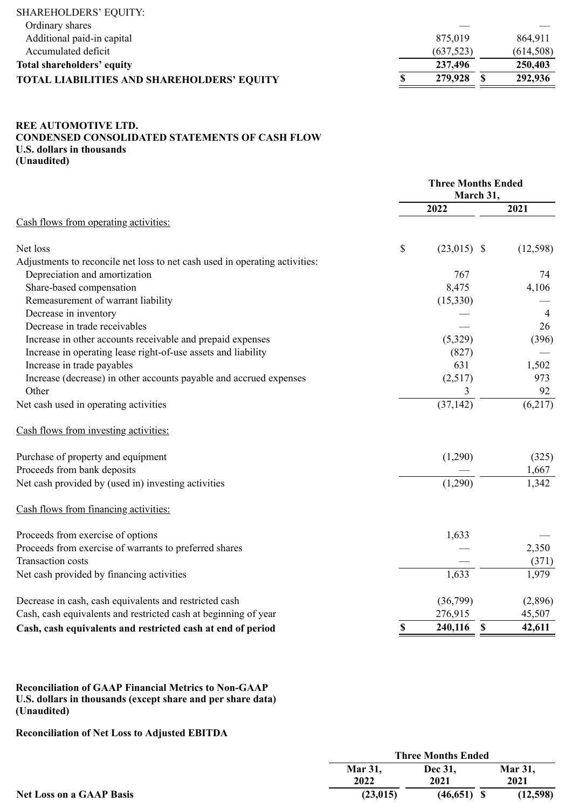| <b>SHAREHOLDERS' EQUITY:</b>                      |           |            |
|---------------------------------------------------|-----------|------------|
| Ordinary shares                                   |           |            |
| Additional paid-in capital                        | 875,019   | 864,911    |
| Accumulated deficit                               | (637,523) | (614, 508) |
| Total shareholders' equity                        | 237,496   | 250,403    |
| <b>TOTAL LIABILITIES AND SHAREHOLDERS' EQUITY</b> | 279,928   | 292,936    |

# **REE AUTOMOTIVE LTD. CONDENSED CONSOLIDATED STATEMENTS OF CASH FLOW U.S. dollars in thousands (Unaudited)**

|                                                                             | <b>Three Months Ended</b><br>March 31, |                        |           |
|-----------------------------------------------------------------------------|----------------------------------------|------------------------|-----------|
|                                                                             |                                        | 2022                   | 2021      |
| Cash flows from operating activities:                                       |                                        |                        |           |
| Net loss                                                                    | \$                                     | $(23,015)$ \$          | (12, 598) |
| Adjustments to reconcile net loss to net cash used in operating activities: |                                        |                        |           |
| Depreciation and amortization                                               |                                        | 767                    | 74        |
| Share-based compensation                                                    |                                        | 8,475                  | 4,106     |
| Remeasurement of warrant liability                                          |                                        | (15,330)               |           |
| Decrease in inventory                                                       |                                        |                        | 4         |
| Decrease in trade receivables                                               |                                        |                        | 26        |
| Increase in other accounts receivable and prepaid expenses                  |                                        | (5,329)                | (396)     |
| Increase in operating lease right-of-use assets and liability               |                                        | (827)                  |           |
| Increase in trade payables                                                  |                                        | 631                    | 1,502     |
| Increase (decrease) in other accounts payable and accrued expenses          |                                        | (2,517)                | 973       |
| Other                                                                       |                                        | 3                      | 92        |
| Net cash used in operating activities                                       |                                        | (37, 142)              | (6,217)   |
| Cash flows from investing activities:                                       |                                        |                        |           |
| Purchase of property and equipment                                          |                                        | (1,290)                | (325)     |
| Proceeds from bank deposits                                                 |                                        |                        | 1,667     |
| Net cash provided by (used in) investing activities                         |                                        | (1,290)                | 1,342     |
| Cash flows from financing activities:                                       |                                        |                        |           |
| Proceeds from exercise of options                                           |                                        | 1,633                  |           |
| Proceeds from exercise of warrants to preferred shares                      |                                        |                        | 2,350     |
| <b>Transaction costs</b>                                                    |                                        |                        | (371)     |
| Net cash provided by financing activities                                   |                                        | 1,633                  | 1,979     |
| Decrease in cash, cash equivalents and restricted cash                      |                                        | (36,799)               | (2,896)   |
| Cash, cash equivalents and restricted cash at beginning of year             |                                        | 276,915                | 45,507    |
| Cash, cash equivalents and restricted cash at end of period                 | \$                                     | $\mathbf S$<br>240,116 | 42,611    |

**Reconciliation of GAAP Financial Metrics to Non-GAAP U.S. dollars in thousands (except share and per share data) (Unaudited)**

**Reconciliation of Net Loss to Adjusted EBITDA**

|                                 |                | <b>Three Months Ended</b> |                |  |  |  |
|---------------------------------|----------------|---------------------------|----------------|--|--|--|
|                                 | <b>Mar 31.</b> | Dec 31.                   | <b>Mar 31,</b> |  |  |  |
|                                 | 2022           | 2021                      | 2021           |  |  |  |
| <b>Net Loss on a GAAP Basis</b> | (23, 015)      | $(46,651)$ \$             | (12,598)       |  |  |  |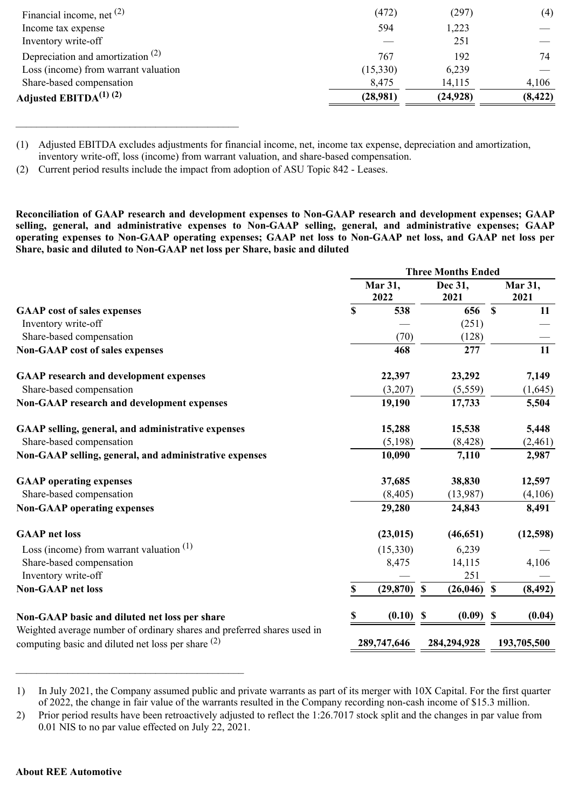| Adjusted EBITDA $^{(1)}$ $^{(2)}$    | (28,981) | (24, 928) | (8, 422) |
|--------------------------------------|----------|-----------|----------|
| Share-based compensation             | 8,475    | 14,115    | 4,106    |
| Loss (income) from warrant valuation | (15,330) | 6,239     |          |
| Depreciation and amortization $(2)$  | 767      | 192       | 74       |
| Inventory write-off                  |          | 251       |          |
| Income tax expense                   | 594      | 1,223     |          |
| Financial income, net $(2)$          | (472)    | (297)     | (4)      |

<sup>(1)</sup> Adjusted EBITDA excludes adjustments for financial income, net, income tax expense, depreciation and amortization, inventory write-off, loss (income) from warrant valuation, and share-based compensation.

\_\_\_\_\_\_\_\_\_\_\_\_\_\_\_\_\_\_\_\_\_\_\_\_\_\_\_\_\_\_\_\_\_\_\_\_\_\_\_\_\_\_\_

**Reconciliation of GAAP research and development expenses to Non-GAAP research and development expenses; GAAP selling, general, and administrative expenses to Non-GAAP selling, general, and administrative expenses; GAAP operating expenses to Non-GAAP operating expenses; GAAP net loss to Non-GAAP net loss, and GAAP net loss per Share, basic and diluted to Non-GAAP net loss per Share, basic and diluted**

|                                                                                                                                 |             | Mar 31,<br>2022 |                           | Dec 31,<br>2021 |                           | Mar 31,<br>2021 |
|---------------------------------------------------------------------------------------------------------------------------------|-------------|-----------------|---------------------------|-----------------|---------------------------|-----------------|
| <b>GAAP</b> cost of sales expenses                                                                                              | $\mathbf S$ | 538             |                           | 656             | $\mathbf{s}$              | 11              |
| Inventory write-off                                                                                                             |             |                 |                           | (251)           |                           |                 |
| Share-based compensation                                                                                                        |             | (70)            |                           | (128)           |                           |                 |
| <b>Non-GAAP cost of sales expenses</b>                                                                                          |             | 468             |                           | 277             |                           | 11              |
| <b>GAAP</b> research and development expenses                                                                                   |             | 22,397          |                           | 23,292          |                           | 7,149           |
| Share-based compensation                                                                                                        |             | (3,207)         |                           | (5,559)         |                           | (1,645)         |
| <b>Non-GAAP research and development expenses</b>                                                                               |             | 19,190          |                           | 17,733          |                           | 5,504           |
| GAAP selling, general, and administrative expenses                                                                              |             | 15,288          |                           | 15,538          |                           | 5,448           |
| Share-based compensation                                                                                                        |             | (5,198)         |                           | (8, 428)        |                           | (2,461)         |
| Non-GAAP selling, general, and administrative expenses                                                                          |             | 10,090          |                           | 7,110           |                           | 2,987           |
| <b>GAAP</b> operating expenses                                                                                                  |             | 37,685          |                           | 38,830          |                           | 12,597          |
| Share-based compensation                                                                                                        |             | (8, 405)        |                           | (13,987)        |                           | (4,106)         |
| <b>Non-GAAP</b> operating expenses                                                                                              |             | 29,280          |                           | 24,843          |                           | 8,491           |
| <b>GAAP</b> net loss                                                                                                            |             | (23, 015)       |                           | (46, 651)       |                           | (12,598)        |
| Loss (income) from warrant valuation $(1)$                                                                                      |             | (15,330)        |                           | 6,239           |                           |                 |
| Share-based compensation                                                                                                        |             | 8,475           |                           | 14,115          |                           | 4,106           |
| Inventory write-off                                                                                                             |             |                 |                           | 251             |                           |                 |
| <b>Non-GAAP</b> net loss                                                                                                        | \$          | (29, 870)       | $\boldsymbol{\mathsf{S}}$ | (26, 046)       | $\mathbf S$               | (8, 492)        |
| Non-GAAP basic and diluted net loss per share                                                                                   |             | (0.10)          | <b>S</b>                  | (0.09)          | $\boldsymbol{\mathsf{s}}$ | (0.04)          |
| Weighted average number of ordinary shares and preferred shares used in<br>computing basic and diluted net loss per share $(2)$ |             | 289,747,646     |                           | 284,294,928     |                           | 193,705,500     |

<sup>1)</sup> In July 2021, the Company assumed public and private warrants as part of its merger with 10X Capital. For the first quarter of 2022, the change in fair value of the warrants resulted in the Company recording non-cash income of \$15.3 million.

\_\_\_\_\_\_\_\_\_\_\_\_\_\_\_\_\_\_\_\_\_\_\_\_\_\_\_\_\_\_\_\_\_\_\_\_\_\_\_\_\_\_\_\_

<sup>(2)</sup> Current period results include the impact from adoption of ASU Topic 842 - Leases.

<sup>2)</sup> Prior period results have been retroactively adjusted to reflect the 1:26.7017 stock split and the changes in par value from 0.01 NIS to no par value effected on July 22, 2021.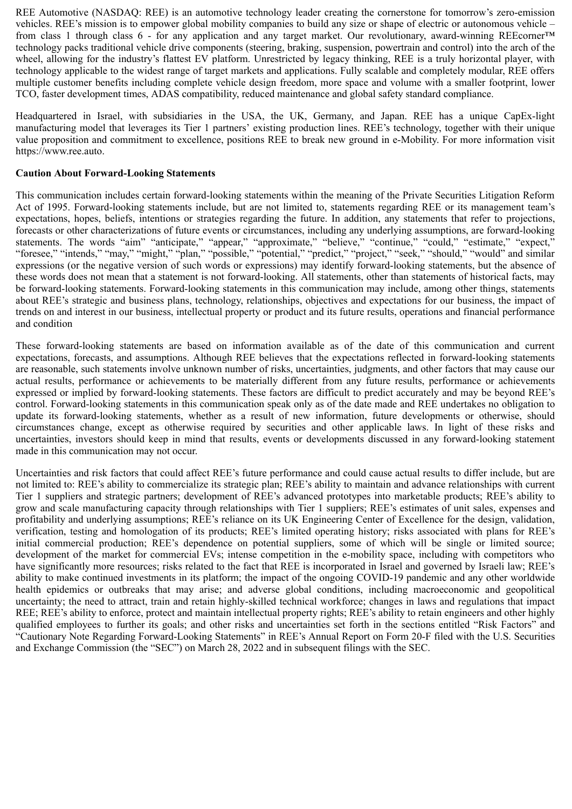REE Automotive (NASDAQ: REE) is an automotive technology leader creating the cornerstone for tomorrow's zero-emission vehicles. REE's mission is to empower global mobility companies to build any size or shape of electric or autonomous vehicle – from class 1 through class 6 - for any application and any target market. Our revolutionary, award-winning REEcorner™ technology packs traditional vehicle drive components (steering, braking, suspension, powertrain and control) into the arch of the wheel, allowing for the industry's flattest EV platform. Unrestricted by legacy thinking, REE is a truly horizontal player, with technology applicable to the widest range of target markets and applications. Fully scalable and completely modular, REE offers multiple customer benefits including complete vehicle design freedom, more space and volume with a smaller footprint, lower TCO, faster development times, ADAS compatibility, reduced maintenance and global safety standard compliance.

Headquartered in Israel, with subsidiaries in the USA, the UK, Germany, and Japan. REE has a unique CapEx-light manufacturing model that leverages its Tier 1 partners' existing production lines. REE's technology, together with their unique value proposition and commitment to excellence, positions REE to break new ground in e-Mobility. For more information visit https://www.ree.auto.

# **Caution About Forward-Looking Statements**

This communication includes certain forward-looking statements within the meaning of the Private Securities Litigation Reform Act of 1995. Forward-looking statements include, but are not limited to, statements regarding REE or its management team's expectations, hopes, beliefs, intentions or strategies regarding the future. In addition, any statements that refer to projections, forecasts or other characterizations of future events or circumstances, including any underlying assumptions, are forward-looking statements. The words "aim" "anticipate," "appear," "approximate," "believe," "continue," "could," "estimate," "expect," "foresee," "intends," "may," "might," "plan," "possible," "potential," "predict," "project," "seek," "should," "would" and similar expressions (or the negative version of such words or expressions) may identify forward-looking statements, but the absence of these words does not mean that a statement is not forward-looking. All statements, other than statements of historical facts, may be forward-looking statements. Forward-looking statements in this communication may include, among other things, statements about REE's strategic and business plans, technology, relationships, objectives and expectations for our business, the impact of trends on and interest in our business, intellectual property or product and its future results, operations and financial performance and condition

These forward-looking statements are based on information available as of the date of this communication and current expectations, forecasts, and assumptions. Although REE believes that the expectations reflected in forward-looking statements are reasonable, such statements involve unknown number of risks, uncertainties, judgments, and other factors that may cause our actual results, performance or achievements to be materially different from any future results, performance or achievements expressed or implied by forward-looking statements. These factors are difficult to predict accurately and may be beyond REE's control. Forward-looking statements in this communication speak only as of the date made and REE undertakes no obligation to update its forward-looking statements, whether as a result of new information, future developments or otherwise, should circumstances change, except as otherwise required by securities and other applicable laws. In light of these risks and uncertainties, investors should keep in mind that results, events or developments discussed in any forward-looking statement made in this communication may not occur.

Uncertainties and risk factors that could affect REE's future performance and could cause actual results to differ include, but are not limited to: REE's ability to commercialize its strategic plan; REE's ability to maintain and advance relationships with current Tier 1 suppliers and strategic partners; development of REE's advanced prototypes into marketable products; REE's ability to grow and scale manufacturing capacity through relationships with Tier 1 suppliers; REE's estimates of unit sales, expenses and profitability and underlying assumptions; REE's reliance on its UK Engineering Center of Excellence for the design, validation, verification, testing and homologation of its products; REE's limited operating history; risks associated with plans for REE's initial commercial production; REE's dependence on potential suppliers, some of which will be single or limited source; development of the market for commercial EVs; intense competition in the e-mobility space, including with competitors who have significantly more resources; risks related to the fact that REE is incorporated in Israel and governed by Israeli law; REE's ability to make continued investments in its platform; the impact of the ongoing COVID-19 pandemic and any other worldwide health epidemics or outbreaks that may arise; and adverse global conditions, including macroeconomic and geopolitical uncertainty; the need to attract, train and retain highly-skilled technical workforce; changes in laws and regulations that impact REE; REE's ability to enforce, protect and maintain intellectual property rights; REE's ability to retain engineers and other highly qualified employees to further its goals; and other risks and uncertainties set forth in the sections entitled "Risk Factors" and "Cautionary Note Regarding Forward-Looking Statements" in REE's Annual Report on Form 20-F filed with the U.S. Securities and Exchange Commission (the "SEC") on March 28, 2022 and in subsequent filings with the SEC.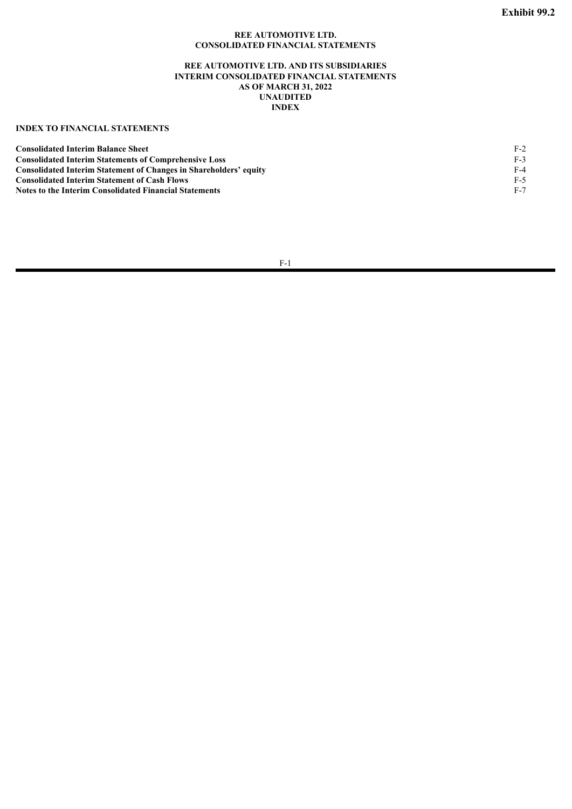### **REE AUTOMOTIVE LTD. CONSOLIDATED FINANCIAL STATEMENTS**

### **REE AUTOMOTIVE LTD. AND ITS SUBSIDIARIES INTERIM CONSOLIDATED FINANCIAL STATEMENTS AS OF MARCH 31, 2022 UNAUDITED INDEX**

# <span id="page-11-0"></span>**INDEX TO FINANCIAL STATEMENTS**

| <b>Consolidated Interim Balance Sheet</b>                                | $F-2$ |
|--------------------------------------------------------------------------|-------|
| <b>Consolidated Interim Statements of Comprehensive Loss</b>             | $F-3$ |
| <b>Consolidated Interim Statement of Changes in Shareholders' equity</b> | F-4   |
| <b>Consolidated Interim Statement of Cash Flows</b>                      | F-5   |
| Notes to the Interim Consolidated Financial Statements                   | F-7   |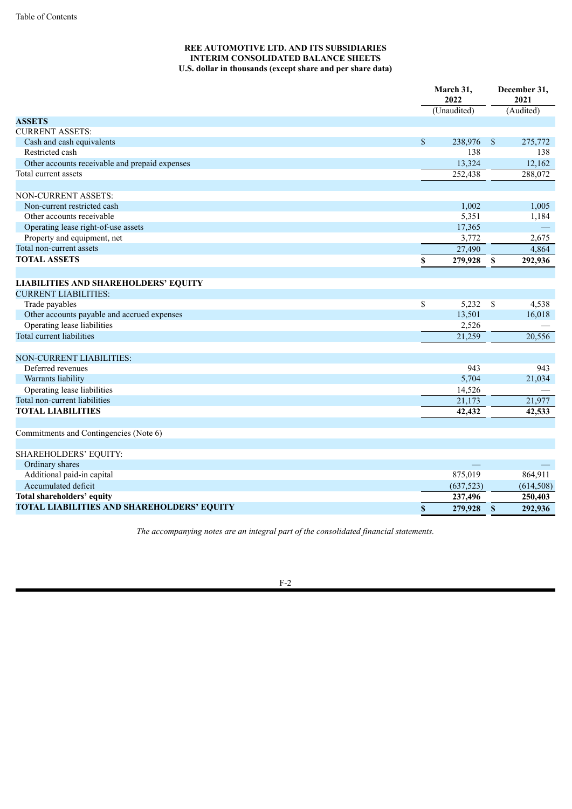# **REE AUTOMOTIVE LTD. AND ITS SUBSIDIARIES INTERIM CONSOLIDATED BALANCE SHEETS U.S. dollar in thousands (except share and per share data)**

|                                                |                         | March 31,<br>2022 |                           | December 31,<br>2021 |
|------------------------------------------------|-------------------------|-------------------|---------------------------|----------------------|
|                                                |                         | (Unaudited)       |                           | (Audited)            |
| <b>ASSETS</b>                                  |                         |                   |                           |                      |
| <b>CURRENT ASSETS:</b>                         |                         |                   |                           |                      |
| Cash and cash equivalents                      | \$                      | 238,976           | $\mathbb{S}$              | 275,772              |
| Restricted cash                                |                         | 138               |                           | 138                  |
| Other accounts receivable and prepaid expenses |                         | 13,324            |                           | 12,162               |
| Total current assets                           |                         | 252,438           |                           | 288,072              |
|                                                |                         |                   |                           |                      |
| NON-CURRENT ASSETS:                            |                         |                   |                           |                      |
| Non-current restricted cash                    |                         | 1,002             |                           | 1,005                |
| Other accounts receivable                      |                         | 5,351             |                           | 1,184                |
| Operating lease right-of-use assets            |                         | 17,365            |                           |                      |
| Property and equipment, net                    |                         | 3,772             |                           | 2,675                |
| Total non-current assets                       |                         | 27,490            |                           | 4,864                |
| <b>TOTAL ASSETS</b>                            | $\mathbb S$             | 279,928           | \$                        | 292,936              |
|                                                |                         |                   |                           |                      |
| <b>LIABILITIES AND SHAREHOLDERS' EQUITY</b>    |                         |                   |                           |                      |
| <b>CURRENT LIABILITIES:</b>                    |                         |                   |                           |                      |
| Trade payables                                 | $\overline{\mathbb{S}}$ | 5,232             | $\mathbf S$               | 4,538                |
| Other accounts payable and accrued expenses    |                         | 13,501            |                           | 16,018               |
| Operating lease liabilities                    |                         | 2,526             |                           |                      |
| Total current liabilities                      |                         | 21,259            |                           | 20,556               |
|                                                |                         |                   |                           |                      |
| <b>NON-CURRENT LIABILITIES:</b>                |                         |                   |                           |                      |
| Deferred revenues                              |                         | 943               |                           | 943                  |
| Warrants liability                             |                         | 5,704             |                           | 21,034               |
| Operating lease liabilities                    |                         | 14,526            |                           |                      |
| Total non-current liabilities                  |                         | 21,173            |                           | 21,977               |
| <b>TOTAL LIABILITIES</b>                       |                         | 42,432            |                           | 42,533               |
|                                                |                         |                   |                           |                      |
| Commitments and Contingencies (Note 6)         |                         |                   |                           |                      |
|                                                |                         |                   |                           |                      |
| SHAREHOLDERS' EQUITY:                          |                         |                   |                           |                      |
| Ordinary shares                                |                         |                   |                           |                      |
| Additional paid-in capital                     |                         | 875,019           |                           | 864,911              |
| Accumulated deficit                            |                         | (637, 523)        |                           | (614, 508)           |
| Total shareholders' equity                     |                         | 237,496           |                           | 250,403              |
| TOTAL LIABILITIES AND SHAREHOLDERS' EQUITY     | $\mathbb S$             | 279,928           | $\boldsymbol{\mathsf{S}}$ | 292,936              |

*The accompanying notes are an integral part of the consolidated financial statements.*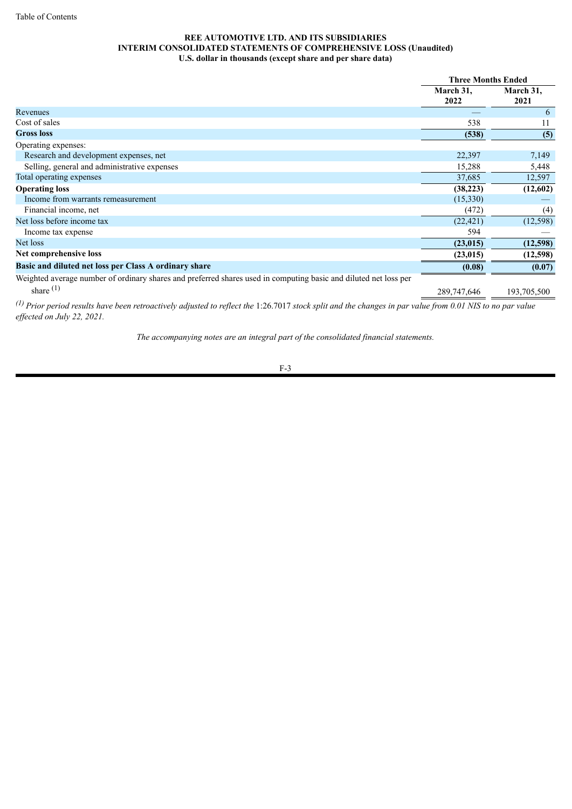## **REE AUTOMOTIVE LTD. AND ITS SUBSIDIARIES INTERIM CONSOLIDATED STATEMENTS OF COMPREHENSIVE LOSS (Unaudited) U.S. dollar in thousands (except share and per share data)**

|                                                                                                                  | <b>Three Months Ended</b> |                   |
|------------------------------------------------------------------------------------------------------------------|---------------------------|-------------------|
|                                                                                                                  | March 31,<br>2022         | March 31,<br>2021 |
| Revenues                                                                                                         |                           | 6                 |
| Cost of sales                                                                                                    | 538                       | 11                |
| <b>Gross</b> loss                                                                                                | (538)                     | (5)               |
| Operating expenses:                                                                                              |                           |                   |
| Research and development expenses, net                                                                           | 22,397                    | 7,149             |
| Selling, general and administrative expenses                                                                     | 15,288                    | 5,448             |
| Total operating expenses                                                                                         | 37,685                    | 12,597            |
| <b>Operating loss</b>                                                                                            | (38, 223)                 | (12,602)          |
| Income from warrants remeasurement                                                                               | (15,330)                  |                   |
| Financial income, net                                                                                            | (472)                     | (4)               |
| Net loss before income tax                                                                                       | (22, 421)                 | (12, 598)         |
| Income tax expense                                                                                               | 594                       |                   |
| Net loss                                                                                                         | (23, 015)                 | (12,598)          |
| Net comprehensive loss                                                                                           | (23, 015)                 | (12,598)          |
| Basic and diluted net loss per Class A ordinary share                                                            | (0.08)                    | (0.07)            |
| Weighted average number of ordinary shares and preferred shares used in computing basic and diluted net loss per |                           |                   |
| share $(1)$                                                                                                      | 289,747,646               | 193,705,500       |
|                                                                                                                  |                           |                   |

(1) Prior period results have been retroactively adjusted to reflect the 1:26.7017 stock split and the changes in par value from 0.01 NIS to no par value *ef ected on July 22, 2021.*

*The accompanying notes are an integral part of the consolidated financial statements.*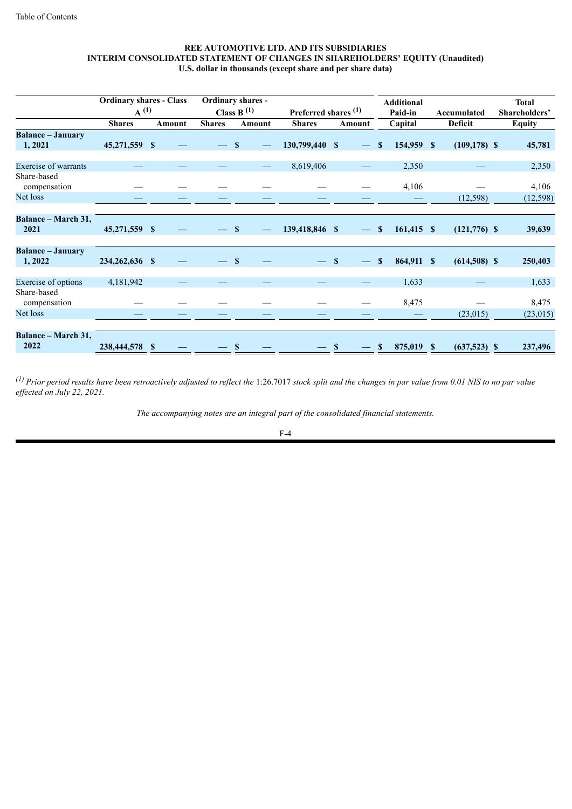### **REE AUTOMOTIVE LTD. AND ITS SUBSIDIARIES INTERIM CONSOLIDATED STATEMENT OF CHANGES IN SHAREHOLDERS' EQUITY (Unaudited) U.S. dollar in thousands (except share and per share data)**

|                                    | <b>Ordinary shares - Class</b><br>$A^{(1)}$ |              |               | <b>Ordinary shares -</b><br>Class B $(1)$ | Preferred shares <sup>(1)</sup> |              |                          | <b>Additional</b><br>Paid-in | Accumulated     | <b>Total</b><br>Shareholders' |
|------------------------------------|---------------------------------------------|--------------|---------------|-------------------------------------------|---------------------------------|--------------|--------------------------|------------------------------|-----------------|-------------------------------|
|                                    | <b>Shares</b>                               | Amount       | <b>Shares</b> | Amount                                    | <b>Shares</b>                   | Amount       |                          | Capital                      | <b>Deficit</b>  | <b>Equity</b>                 |
| <b>Balance - January</b><br>1,2021 | 45,271,559 \$                               |              |               | $\mathbf{s}$                              | 130,799,440 \$                  |              |                          | 154,959 \$<br>$\mathbf{s}$   | $(109, 178)$ \$ | 45,781                        |
| <b>Exercise of warrants</b>        |                                             |              |               |                                           | 8,619,406                       |              |                          | 2,350                        |                 | 2,350                         |
| Share-based<br>compensation        |                                             |              |               |                                           |                                 |              |                          | 4,106                        |                 | 4,106                         |
| Net loss                           |                                             |              |               |                                           |                                 |              |                          |                              | (12,598)        | (12, 598)                     |
| <b>Balance – March 31,</b><br>2021 | 45,271,559 \$                               |              |               | <b>S</b>                                  | 139,418,846 \$                  |              | $\overline{\phantom{m}}$ | $161,415$ \$<br><sup>S</sup> | $(121,776)$ \$  | 39,639                        |
| <b>Balance - January</b><br>1,2022 | 234,262,636 \$                              |              | $-$ \$        |                                           |                                 | $\mathbf{s}$ | $\overline{\phantom{a}}$ | 864,911 \$<br>$\mathbf{s}$   | $(614,508)$ \$  | 250,403                       |
| Exercise of options                | 4,181,942                                   |              |               |                                           |                                 |              |                          | 1,633                        |                 | 1,633                         |
| Share-based<br>compensation        |                                             |              |               |                                           |                                 |              |                          | 8,475                        |                 | 8,475                         |
| Net loss                           |                                             |              |               |                                           |                                 |              |                          |                              | (23,015)        | (23, 015)                     |
| <b>Balance – March 31,</b>         |                                             |              |               |                                           |                                 |              |                          |                              |                 |                               |
| 2022                               | 238,444,578                                 | $\mathbf{s}$ |               | <b>S</b>                                  |                                 | S            |                          | 875,019 \$<br>$\mathbf{s}$   | $(637,523)$ \$  | 237,496                       |

 $^{(1)}$  Prior period results have been retroactively adjusted to reflect the 1:26.7017 stock split and the changes in par value from 0.01 NIS to no par value *ef ected on July 22, 2021.*

*The accompanying notes are an integral part of the consolidated financial statements.*

$$
F-4
$$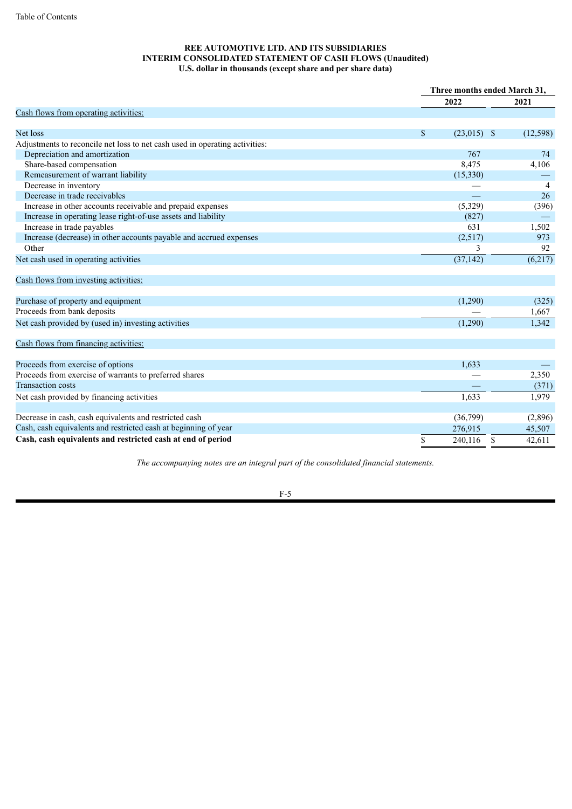### **REE AUTOMOTIVE LTD. AND ITS SUBSIDIARIES INTERIM CONSOLIDATED STATEMENT OF CASH FLOWS (Unaudited) U.S. dollar in thousands (except share and per share data)**

|                                                                             |                       | Three months ended March 31, |
|-----------------------------------------------------------------------------|-----------------------|------------------------------|
|                                                                             | 2022                  | 2021                         |
| Cash flows from operating activities:                                       |                       |                              |
|                                                                             |                       |                              |
| Net loss                                                                    | $\$$<br>$(23,015)$ \$ | (12, 598)                    |
| Adjustments to reconcile net loss to net cash used in operating activities: |                       |                              |
| Depreciation and amortization                                               | 767                   | 74                           |
| Share-based compensation                                                    | 8,475                 | 4,106                        |
| Remeasurement of warrant liability                                          | (15,330)              |                              |
| Decrease in inventory                                                       |                       | $\overline{4}$               |
| Decrease in trade receivables                                               |                       | 26                           |
| Increase in other accounts receivable and prepaid expenses                  | (5,329)               | (396)                        |
| Increase in operating lease right-of-use assets and liability               | (827)                 |                              |
| Increase in trade payables                                                  | 631                   | 1,502                        |
| Increase (decrease) in other accounts payable and accrued expenses          | (2,517)               | 973                          |
| Other                                                                       | 3                     | 92                           |
| Net cash used in operating activities                                       | (37, 142)             | (6,217)                      |
| Cash flows from investing activities:                                       |                       |                              |
| Purchase of property and equipment                                          | (1,290)               | (325)                        |
| Proceeds from bank deposits                                                 |                       | 1,667                        |
| Net cash provided by (used in) investing activities                         | (1,290)               | 1,342                        |
| Cash flows from financing activities:                                       |                       |                              |
| Proceeds from exercise of options                                           | 1,633                 |                              |
| Proceeds from exercise of warrants to preferred shares                      |                       | 2,350                        |
| <b>Transaction costs</b>                                                    |                       | (371)                        |
| Net cash provided by financing activities                                   | 1,633                 | 1,979                        |
| Decrease in cash, cash equivalents and restricted cash                      | (36,799)              | (2,896)                      |
| Cash, cash equivalents and restricted cash at beginning of year             | 276,915               | 45,507                       |
| Cash, cash equivalents and restricted cash at end of period                 | \$<br>240,116         | \$<br>42,611                 |
|                                                                             |                       |                              |

*The accompanying notes are an integral part of the consolidated financial statements.*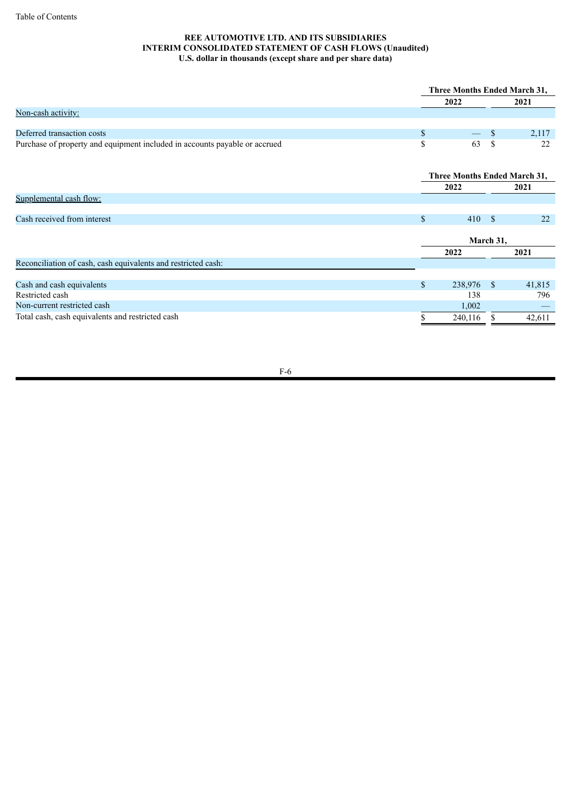# **REE AUTOMOTIVE LTD. AND ITS SUBSIDIARIES INTERIM CONSOLIDATED STATEMENT OF CASH FLOWS (Unaudited) U.S. dollar in thousands (except share and per share data)**

|                                                                            | <b>Three Months Ended March 31,</b> |                                     |      |        |  |      |
|----------------------------------------------------------------------------|-------------------------------------|-------------------------------------|------|--------|--|------|
|                                                                            |                                     | 2022                                |      |        |  | 2021 |
| Non-cash activity:                                                         |                                     |                                     |      |        |  |      |
|                                                                            |                                     |                                     |      |        |  |      |
| Deferred transaction costs                                                 | \$                                  |                                     | S    | 2,117  |  |      |
| Purchase of property and equipment included in accounts payable or accrued | \$                                  | 63                                  | \$   | 22     |  |      |
|                                                                            |                                     |                                     |      |        |  |      |
|                                                                            |                                     | <b>Three Months Ended March 31,</b> |      |        |  |      |
|                                                                            |                                     | 2022                                | 2021 |        |  |      |
| Supplemental cash flow:                                                    |                                     |                                     |      |        |  |      |
|                                                                            |                                     |                                     |      |        |  |      |
| Cash received from interest                                                | $\mathcal{S}$                       | 410S                                |      | 22     |  |      |
|                                                                            |                                     |                                     |      |        |  |      |
|                                                                            | March 31,                           |                                     |      |        |  |      |
|                                                                            |                                     | 2022                                |      | 2021   |  |      |
| Reconciliation of cash, cash equivalents and restricted cash:              |                                     |                                     |      |        |  |      |
|                                                                            |                                     |                                     |      |        |  |      |
| Cash and cash equivalents                                                  | $\mathsf{\$}$                       | 238,976 \$                          |      | 41,815 |  |      |
| Restricted cash                                                            |                                     | 138                                 |      | 796    |  |      |
| Non-current restricted cash                                                |                                     | 1,002                               |      |        |  |      |
| Total cash, cash equivalents and restricted cash                           |                                     | 240,116                             |      | 42,611 |  |      |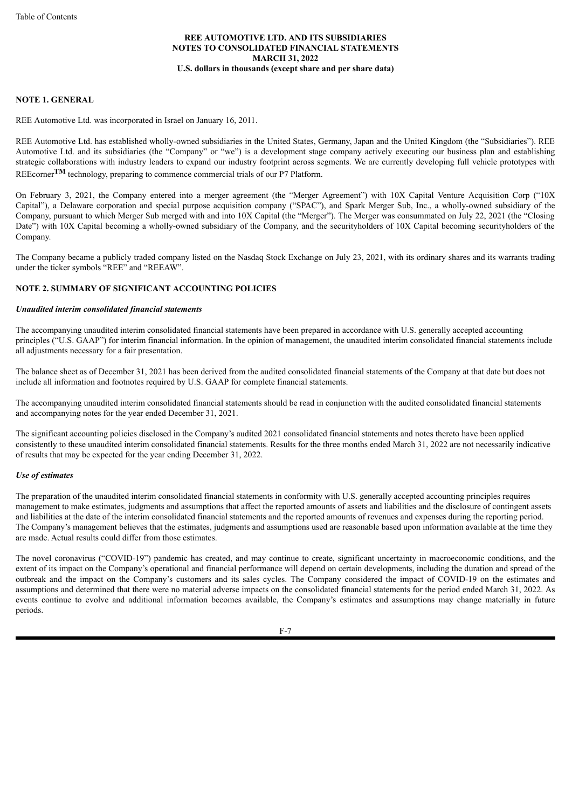### **NOTE 1. GENERAL**

REE Automotive Ltd. was incorporated in Israel on January 16, 2011.

REE Automotive Ltd. has established wholly-owned subsidiaries in the United States, Germany, Japan and the United Kingdom (the "Subsidiaries"). REE Automotive Ltd. and its subsidiaries (the "Company" or "we") is a development stage company actively executing our business plan and establishing strategic collaborations with industry leaders to expand our industry footprint across segments. We are currently developing full vehicle prototypes with REEcorner<sup>TM</sup> technology, preparing to commence commercial trials of our P7 Platform.

On February 3, 2021, the Company entered into a merger agreement (the "Merger Agreement") with 10X Capital Venture Acquisition Corp ("10X Capital"), a Delaware corporation and special purpose acquisition company ("SPAC"), and Spark Merger Sub, Inc., a wholly-owned subsidiary of the Company, pursuant to which Merger Sub merged with and into 10X Capital (the "Merger"). The Merger was consummated on July 22, 2021 (the "Closing Date") with 10X Capital becoming a wholly-owned subsidiary of the Company, and the securityholders of 10X Capital becoming securityholders of the Company.

The Company became a publicly traded company listed on the Nasdaq Stock Exchange on July 23, 2021, with its ordinary shares and its warrants trading under the ticker symbols "REE" and "REEAW".

#### **NOTE 2. SUMMARY OF SIGNIFICANT ACCOUNTING POLICIES**

#### *Unaudited interim consolidated financial statements*

The accompanying unaudited interim consolidated financial statements have been prepared in accordance with U.S. generally accepted accounting principles ("U.S. GAAP") for interim financial information. In the opinion of management, the unaudited interim consolidated financial statements include all adjustments necessary for a fair presentation.

The balance sheet as of December 31, 2021 has been derived from the audited consolidated financial statements of the Company at that date but does not include all information and footnotes required by U.S. GAAP for complete financial statements.

The accompanying unaudited interim consolidated financial statements should be read in conjunction with the audited consolidated financial statements and accompanying notes for the year ended December 31, 2021.

The significant accounting policies disclosed in the Company's audited 2021 consolidated financial statements and notes thereto have been applied consistently to these unaudited interim consolidated financial statements. Results for the three months ended March 31, 2022 are not necessarily indicative of results that may be expected for the year ending December 31, 2022.

#### *Use of estimates*

The preparation of the unaudited interim consolidated financial statements in conformity with U.S. generally accepted accounting principles requires management to make estimates, judgments and assumptions that affect the reported amounts of assets and liabilities and the disclosure of contingent assets and liabilities at the date of the interim consolidated financial statements and the reported amounts of revenues and expenses during the reporting period. The Company's management believes that the estimates, judgments and assumptions used are reasonable based upon information available at the time they are made. Actual results could differ from those estimates.

The novel coronavirus ("COVID-19") pandemic has created, and may continue to create, significant uncertainty in macroeconomic conditions, and the extent of its impact on the Company's operational and financial performance will depend on certain developments, including the duration and spread of the outbreak and the impact on the Company's customers and its sales cycles. The Company considered the impact of COVID-19 on the estimates and assumptions and determined that there were no material adverse impacts on the consolidated financial statements for the period ended March 31, 2022. As events continue to evolve and additional information becomes available, the Company's estimates and assumptions may change materially in future periods.

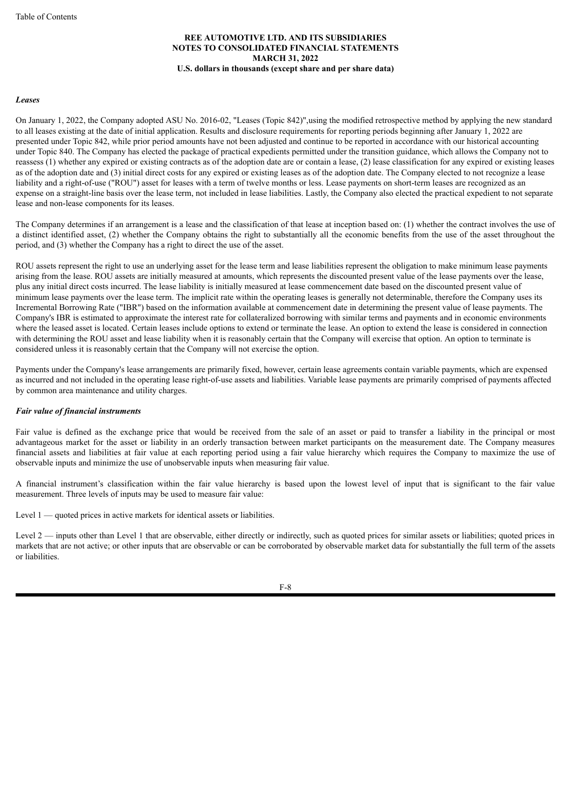#### *Leases*

On January 1, 2022, the Company adopted ASU No. 2016-02, "Leases (Topic 842)",using the modified retrospective method by applying the new standard to all leases existing at the date of initial application. Results and disclosure requirements for reporting periods beginning after January 1, 2022 are presented under Topic 842, while prior period amounts have not been adjusted and continue to be reported in accordance with our historical accounting under Topic 840. The Company has elected the package of practical expedients permitted under the transition guidance, which allows the Company not to reassess (1) whether any expired or existing contracts as of the adoption date are or contain a lease, (2) lease classification for any expired or existing leases as of the adoption date and (3) initial direct costs for any expired or existing leases as of the adoption date. The Company elected to not recognize a lease liability and a right-of-use ("ROU") asset for leases with a term of twelve months or less. Lease payments on short-term leases are recognized as an expense on a straight-line basis over the lease term, not included in lease liabilities. Lastly, the Company also elected the practical expedient to not separate lease and non-lease components for its leases.

The Company determines if an arrangement is a lease and the classification of that lease at inception based on: (1) whether the contract involves the use of a distinct identified asset, (2) whether the Company obtains the right to substantially all the economic benefits from the use of the asset throughout the period, and (3) whether the Company has a right to direct the use of the asset.

ROU assets represent the right to use an underlying asset for the lease term and lease liabilities represent the obligation to make minimum lease payments arising from the lease. ROU assets are initially measured at amounts, which represents the discounted present value of the lease payments over the lease, plus any initial direct costs incurred. The lease liability is initially measured at lease commencement date based on the discounted present value of minimum lease payments over the lease term. The implicit rate within the operating leases is generally not determinable, therefore the Company uses its Incremental Borrowing Rate ("IBR") based on the information available at commencement date in determining the present value of lease payments. The Company's IBR is estimated to approximate the interest rate for collateralized borrowing with similar terms and payments and in economic environments where the leased asset is located. Certain leases include options to extend or terminate the lease. An option to extend the lease is considered in connection with determining the ROU asset and lease liability when it is reasonably certain that the Company will exercise that option. An option to terminate is considered unless it is reasonably certain that the Company will not exercise the option.

Payments under the Company's lease arrangements are primarily fixed, however, certain lease agreements contain variable payments, which are expensed as incurred and not included in the operating lease right-of-use assets and liabilities. Variable lease payments are primarily comprised of payments affected by common area maintenance and utility charges.

#### *Fair value of financial instruments*

Fair value is defined as the exchange price that would be received from the sale of an asset or paid to transfer a liability in the principal or most advantageous market for the asset or liability in an orderly transaction between market participants on the measurement date. The Company measures financial assets and liabilities at fair value at each reporting period using a fair value hierarchy which requires the Company to maximize the use of observable inputs and minimize the use of unobservable inputs when measuring fair value.

A financial instrument's classification within the fair value hierarchy is based upon the lowest level of input that is significant to the fair value measurement. Three levels of inputs may be used to measure fair value:

Level 1 — quoted prices in active markets for identical assets or liabilities.

Level 2 — inputs other than Level 1 that are observable, either directly or indirectly, such as quoted prices for similar assets or liabilities; quoted prices in markets that are not active; or other inputs that are observable or can be corroborated by observable market data for substantially the full term of the assets or liabilities.

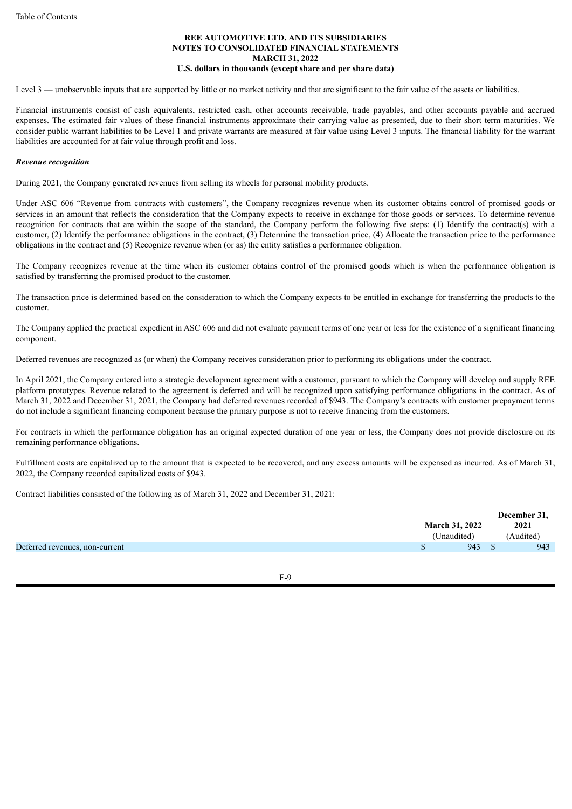Level 3 — unobservable inputs that are supported by little or no market activity and that are significant to the fair value of the assets or liabilities.

Financial instruments consist of cash equivalents, restricted cash, other accounts receivable, trade payables, and other accounts payable and accrued expenses. The estimated fair values of these financial instruments approximate their carrying value as presented, due to their short term maturities. We consider public warrant liabilities to be Level 1 and private warrants are measured at fair value using Level 3 inputs. The financial liability for the warrant liabilities are accounted for at fair value through profit and loss.

#### *Revenue recognition*

During 2021, the Company generated revenues from selling its wheels for personal mobility products.

Under ASC 606 "Revenue from contracts with customers", the Company recognizes revenue when its customer obtains control of promised goods or services in an amount that reflects the consideration that the Company expects to receive in exchange for those goods or services. To determine revenue recognition for contracts that are within the scope of the standard, the Company perform the following five steps: (1) Identify the contract(s) with a customer, (2) Identify the performance obligations in the contract, (3) Determine the transaction price, (4) Allocate the transaction price to the performance obligations in the contract and (5) Recognize revenue when (or as) the entity satisfies a performance obligation.

The Company recognizes revenue at the time when its customer obtains control of the promised goods which is when the performance obligation is satisfied by transferring the promised product to the customer.

The transaction price is determined based on the consideration to which the Company expects to be entitled in exchange for transferring the products to the customer.

The Company applied the practical expedient in ASC 606 and did not evaluate payment terms of one year or less for the existence of a significant financing component.

Deferred revenues are recognized as (or when) the Company receives consideration prior to performing its obligations under the contract.

In April 2021, the Company entered into a strategic development agreement with a customer, pursuant to which the Company will develop and supply REE platform prototypes. Revenue related to the agreement is deferred and will be recognized upon satisfying performance obligations in the contract. As of March 31, 2022 and December 31, 2021, the Company had deferred revenues recorded of \$943. The Company's contracts with customer prepayment terms do not include a significant financing component because the primary purpose is not to receive financing from the customers.

For contracts in which the performance obligation has an original expected duration of one year or less, the Company does not provide disclosure on its remaining performance obligations.

Fulfillment costs are capitalized up to the amount that is expected to be recovered, and any excess amounts will be expensed as incurred. As of March 31, 2022, the Company recorded capitalized costs of \$943.

Contract liabilities consisted of the following as of March 31, 2022 and December 31, 2021:

|                                | <b>March 31, 2022</b> | December 31,<br>2021 |
|--------------------------------|-----------------------|----------------------|
|                                | (Unaudited)           | (Audited)            |
| Deferred revenues, non-current | 943                   | 943                  |

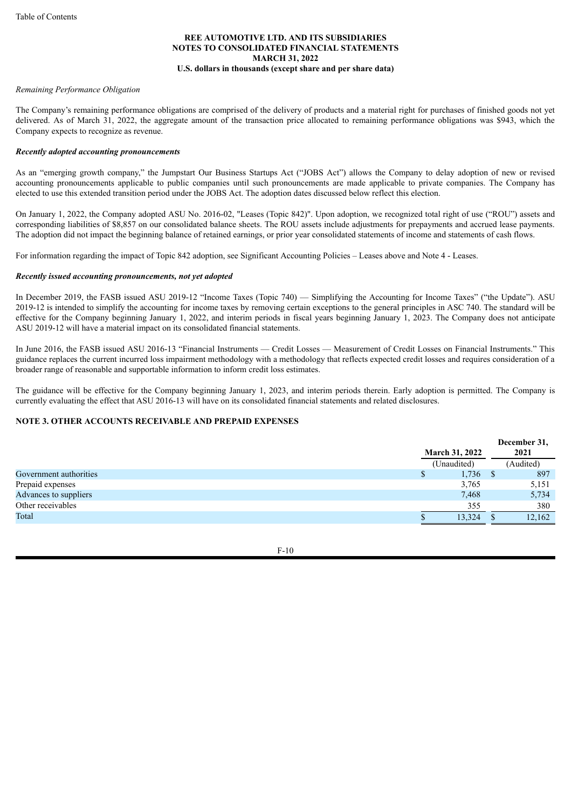#### *Remaining Performance Obligation*

The Company's remaining performance obligations are comprised of the delivery of products and a material right for purchases of finished goods not yet delivered. As of March 31, 2022, the aggregate amount of the transaction price allocated to remaining performance obligations was \$943, which the Company expects to recognize as revenue.

#### *Recently adopted accounting pronouncements*

As an "emerging growth company," the Jumpstart Our Business Startups Act ("JOBS Act") allows the Company to delay adoption of new or revised accounting pronouncements applicable to public companies until such pronouncements are made applicable to private companies. The Company has elected to use this extended transition period under the JOBS Act. The adoption dates discussed below reflect this election.

On January 1, 2022, the Company adopted ASU No. 2016-02, "Leases (Topic 842)". Upon adoption, we recognized total right of use ("ROU") assets and corresponding liabilities of \$8,857 on our consolidated balance sheets. The ROU assets include adjustments for prepayments and accrued lease payments. The adoption did not impact the beginning balance of retained earnings, or prior year consolidated statements of income and statements of cash flows.

For information regarding the impact of Topic 842 adoption, see Significant Accounting Policies – Leases above and Note 4 - Leases.

#### *Recently issued accounting pronouncements, not yet adopted*

In December 2019, the FASB issued ASU 2019-12 "Income Taxes (Topic 740) — Simplifying the Accounting for Income Taxes" ("the Update"). ASU 2019-12 is intended to simplify the accounting for income taxes by removing certain exceptions to the general principles in ASC 740. The standard will be effective for the Company beginning January 1, 2022, and interim periods in fiscal years beginning January 1, 2023. The Company does not anticipate ASU 2019-12 will have a material impact on its consolidated financial statements.

In June 2016, the FASB issued ASU 2016-13 "Financial Instruments — Credit Losses — Measurement of Credit Losses on Financial Instruments." This guidance replaces the current incurred loss impairment methodology with a methodology that reflects expected credit losses and requires consideration of a broader range of reasonable and supportable information to inform credit loss estimates.

The guidance will be effective for the Company beginning January 1, 2023, and interim periods therein. Early adoption is permitted. The Company is currently evaluating the effect that ASU 2016-13 will have on its consolidated financial statements and related disclosures.

# **NOTE 3. OTHER ACCOUNTS RECEIVABLE AND PREPAID EXPENSES**

|                        |     |                       |              | December 31, |
|------------------------|-----|-----------------------|--------------|--------------|
|                        |     | <b>March 31, 2022</b> |              | 2021         |
|                        |     | (Unaudited)           |              | (Audited)    |
| Government authorities | ND. | 1,736                 | <sup>S</sup> | 897          |
| Prepaid expenses       |     | 3,765                 |              | 5,151        |
| Advances to suppliers  |     | 7,468                 |              | 5,734        |
| Other receivables      |     | 355                   |              | 380          |
| Total                  |     | 13,324                |              | 12,162       |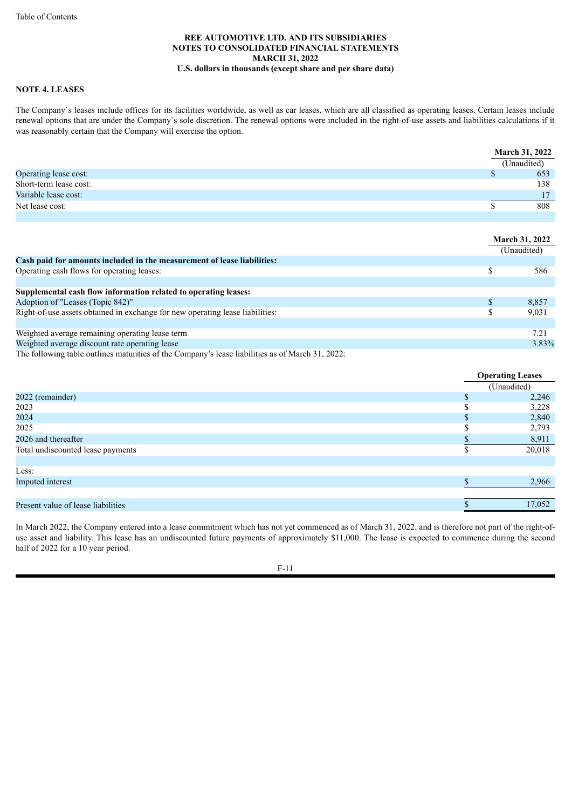## **NOTE 4. LEASES**

The Company`s leases include offices for its facilities worldwide, as well as car leases, which are all classified as operating leases. Certain leases include renewal options that are under the Company`s sole discretion. The renewal options were included in the right-of-use assets and liabilities calculations if it was reasonably certain that the Company will exercise the option.

|                        | <b>March 31, 2022</b> |
|------------------------|-----------------------|
|                        | (Unaudited)           |
| Operating lease cost:  | 653                   |
| Short-term lease cost: | 138                   |
| Variable lease cost:   | 17                    |
| Net lease cost:        | 808                   |
|                        |                       |

|                                                                               | <b>March 31, 2022</b> |       |
|-------------------------------------------------------------------------------|-----------------------|-------|
|                                                                               | (Unaudited)           |       |
| Cash paid for amounts included in the measurement of lease liabilities:       |                       |       |
| Operating cash flows for operating leases:                                    | S                     | 586   |
|                                                                               |                       |       |
| Supplemental cash flow information related to operating leases:               |                       |       |
| Adoption of "Leases (Topic 842)"                                              | S                     | 8,857 |
| Right-of-use assets obtained in exchange for new operating lease liabilities: | S                     | 9,031 |
|                                                                               |                       |       |
| Weighted average remaining operating lease term                               |                       | 7.21  |
| Weighted average discount rate operating lease                                |                       | 3.83% |

The following table outlines maturities of the Company's lease liabilities as of March 31, 2022:

|                                    |     | <b>Operating Leases</b> |
|------------------------------------|-----|-------------------------|
|                                    |     | (Unaudited)             |
| 2022 (remainder)                   | \$. | 2,246                   |
| 2023                               |     | 3,228                   |
| 2024                               |     | 2,840                   |
| 2025                               |     | 2,793                   |
| 2026 and thereafter                |     | 8,911                   |
| Total undiscounted lease payments  |     | 20,018                  |
|                                    |     |                         |
| Less:                              |     |                         |
| Imputed interest                   |     | 2,966                   |
|                                    |     |                         |
| Present value of lease liabilities |     | 17,052                  |

In March 2022, the Company entered into a lease commitment which has not yet commenced as of March 31, 2022, and is therefore not part of the right-ofuse asset and liability. This lease has an undiscounted future payments of approximately \$11,000. The lease is expected to commence during the second half of 2022 for a 10 year period.

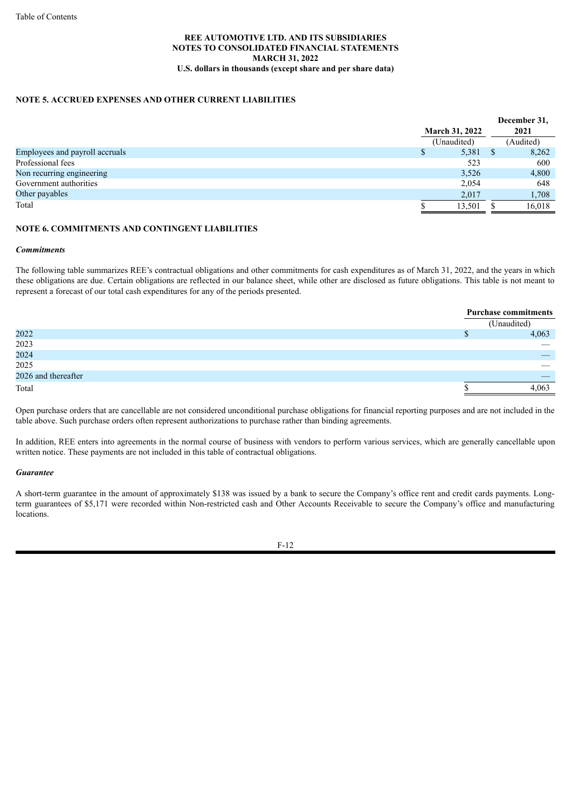# **NOTE 5. ACCRUED EXPENSES AND OTHER CURRENT LIABILITIES**

|                                |                       |             |  | December 31, |
|--------------------------------|-----------------------|-------------|--|--------------|
|                                | <b>March 31, 2022</b> |             |  |              |
|                                |                       | (Unaudited) |  | (Audited)    |
| Employees and payroll accruals | \$                    | $5,381$ \$  |  | 8,262        |
| Professional fees              |                       | 523         |  | 600          |
| Non recurring engineering      |                       | 3,526       |  | 4,800        |
| Government authorities         |                       | 2,054       |  | 648          |
| Other payables                 |                       | 2.017       |  | 1,708        |
| Total                          |                       | 13.501      |  | 16,018       |

#### **NOTE 6. COMMITMENTS AND CONTINGENT LIABILITIES**

#### *Commitments*

The following table summarizes REE's contractual obligations and other commitments for cash expenditures as of March 31, 2022, and the years in which these obligations are due. Certain obligations are reflected in our balance sheet, while other are disclosed as future obligations. This table is not meant to represent a forecast of our total cash expenditures for any of the periods presented.

|                     | <b>Purchase commitments</b> |
|---------------------|-----------------------------|
|                     | (Unaudited)                 |
| 2022                | 4,063                       |
| 2023                |                             |
| 2024                |                             |
| 2025                |                             |
| 2026 and thereafter |                             |
| Total               | 4.063                       |

Open purchase orders that are cancellable are not considered unconditional purchase obligations for financial reporting purposes and are not included in the table above. Such purchase orders often represent authorizations to purchase rather than binding agreements.

In addition, REE enters into agreements in the normal course of business with vendors to perform various services, which are generally cancellable upon written notice. These payments are not included in this table of contractual obligations.

#### *Guarantee*

A short-term guarantee in the amount of approximately \$138 was issued by a bank to secure the Company's office rent and credit cards payments. Longterm guarantees of \$5,171 were recorded within Non-restricted cash and Other Accounts Receivable to secure the Company's office and manufacturing locations.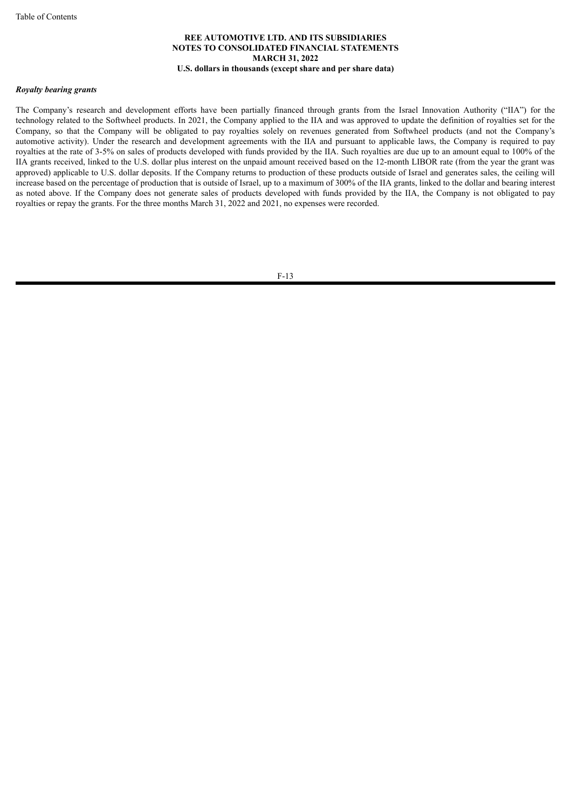#### *Royalty bearing grants*

The Company's research and development efforts have been partially financed through grants from the Israel Innovation Authority ("IIA") for the technology related to the Softwheel products. In 2021, the Company applied to the IIA and was approved to update the definition of royalties set for the Company, so that the Company will be obligated to pay royalties solely on revenues generated from Softwheel products (and not the Company's automotive activity). Under the research and development agreements with the IIA and pursuant to applicable laws, the Company is required to pay royalties at the rate of 3-5% on sales of products developed with funds provided by the IIA. Such royalties are due up to an amount equal to 100% of the IIA grants received, linked to the U.S. dollar plus interest on the unpaid amount received based on the 12-month LIBOR rate (from the year the grant was approved) applicable to U.S. dollar deposits. If the Company returns to production of these products outside of Israel and generates sales, the ceiling will increase based on the percentage of production that is outside of Israel, up to a maximum of 300% of the IIA grants, linked to the dollar and bearing interest as noted above. If the Company does not generate sales of products developed with funds provided by the IIA, the Company is not obligated to pay royalties or repay the grants. For the three months March 31, 2022 and 2021, no expenses were recorded.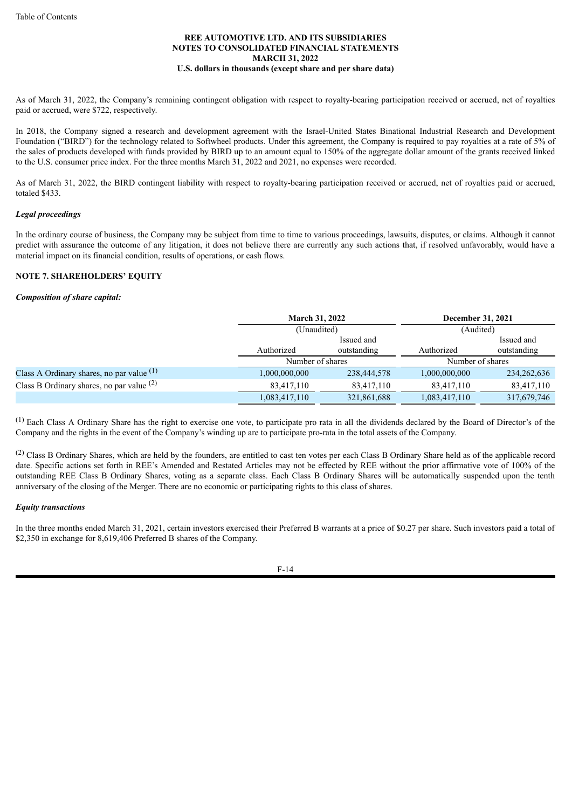As of March 31, 2022, the Company's remaining contingent obligation with respect to royalty-bearing participation received or accrued, net of royalties paid or accrued, were \$722, respectively.

In 2018, the Company signed a research and development agreement with the Israel-United States Binational Industrial Research and Development Foundation ("BIRD") for the technology related to Softwheel products. Under this agreement, the Company is required to pay royalties at a rate of 5% of the sales of products developed with funds provided by BIRD up to an amount equal to 150% of the aggregate dollar amount of the grants received linked to the U.S. consumer price index. For the three months March 31, 2022 and 2021, no expenses were recorded.

As of March 31, 2022, the BIRD contingent liability with respect to royalty-bearing participation received or accrued, net of royalties paid or accrued, totaled \$433.

### *Legal proceedings*

In the ordinary course of business, the Company may be subject from time to time to various proceedings, lawsuits, disputes, or claims. Although it cannot predict with assurance the outcome of any litigation, it does not believe there are currently any such actions that, if resolved unfavorably, would have a material impact on its financial condition, results of operations, or cash flows.

### **NOTE 7. SHAREHOLDERS' EQUITY**

#### *Composition of share capital:*

|                                             | <b>March 31, 2022</b> |                  | December 31, 2021 |                  |  |
|---------------------------------------------|-----------------------|------------------|-------------------|------------------|--|
|                                             | (Unaudited)           |                  | (Audited)         |                  |  |
|                                             |                       | Issued and       |                   | Issued and       |  |
|                                             | Authorized            | outstanding      | Authorized        | outstanding      |  |
|                                             |                       | Number of shares |                   | Number of shares |  |
| Class A Ordinary shares, no par value $(1)$ | 1,000,000,000         | 238,444,578      | 000,000,000.1     | 234, 262, 636    |  |
| Class B Ordinary shares, no par value $(2)$ | 83,417,110            | 83,417,110       | 83,417,110        | 83,417,110       |  |
|                                             | 1,083,417,110         | 321,861,688      | 1,083,417,110     | 317,679,746      |  |

(1) Each Class A Ordinary Share has the right to exercise one vote, to participate pro rata in all the dividends declared by the Board of Director's of the Company and the rights in the event of the Company's winding up are to participate pro-rata in the total assets of the Company.

(2) Class B Ordinary Shares, which are held by the founders, are entitled to cast ten votes per each Class B Ordinary Share held as of the applicable record date. Specific actions set forth in REE's Amended and Restated Articles may not be effected by REE without the prior affirmative vote of 100% of the outstanding REE Class B Ordinary Shares, voting as a separate class. Each Class B Ordinary Shares will be automatically suspended upon the tenth anniversary of the closing of the Merger. There are no economic or participating rights to this class of shares.

#### *Equity transactions*

In the three months ended March 31, 2021, certain investors exercised their Preferred B warrants at a price of \$0.27 per share. Such investors paid a total of \$2,350 in exchange for 8,619,406 Preferred B shares of the Company.

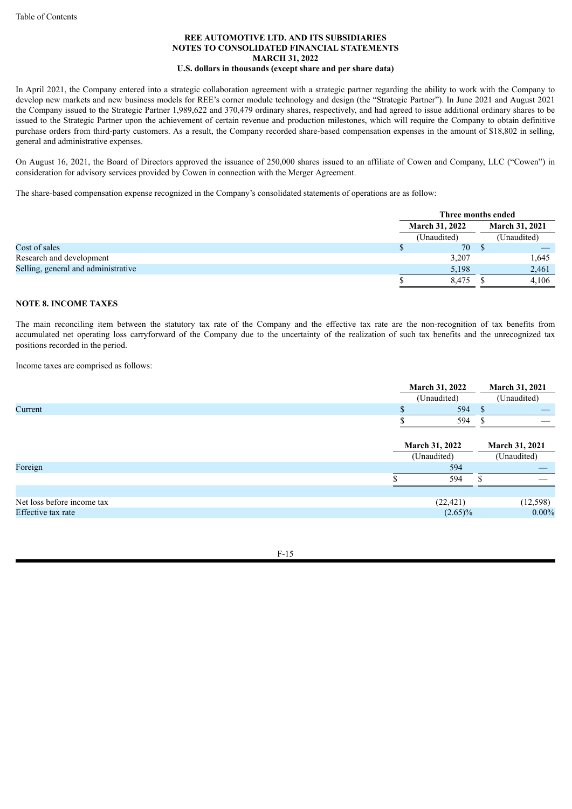In April 2021, the Company entered into a strategic collaboration agreement with a strategic partner regarding the ability to work with the Company to develop new markets and new business models for REE's corner module technology and design (the "Strategic Partner"). In June 2021 and August 2021 the Company issued to the Strategic Partner 1,989,622 and 370,479 ordinary shares, respectively, and had agreed to issue additional ordinary shares to be issued to the Strategic Partner upon the achievement of certain revenue and production milestones, which will require the Company to obtain definitive purchase orders from third-party customers. As a result, the Company recorded share-based compensation expenses in the amount of \$18,802 in selling, general and administrative expenses.

On August 16, 2021, the Board of Directors approved the issuance of 250,000 shares issued to an affiliate of Cowen and Company, LLC ("Cowen") in consideration for advisory services provided by Cowen in connection with the Merger Agreement.

The share-based compensation expense recognized in the Company's consolidated statements of operations are as follow:

|                                     | Three months ended         |  |                       |  |
|-------------------------------------|----------------------------|--|-----------------------|--|
|                                     | <b>March 31, 2022</b>      |  | <b>March 31, 2021</b> |  |
|                                     | (Unaudited)<br>(Unaudited) |  |                       |  |
| Cost of sales                       | 70                         |  |                       |  |
| Research and development            | 3,207                      |  | 1,645                 |  |
| Selling, general and administrative | 5,198                      |  | 2,461                 |  |
|                                     | 8.475                      |  | 4.106                 |  |

# **NOTE 8. INCOME TAXES**

The main reconciling item between the statutory tax rate of the Company and the effective tax rate are the non-recognition of tax benefits from accumulated net operating loss carryforward of the Company due to the uncertainty of the realization of such tax benefits and the unrecognized tax positions recorded in the period.

Income taxes are comprised as follows:

|                            | <b>March 31, 2022</b> | March 31, 2021        |  |
|----------------------------|-----------------------|-----------------------|--|
|                            | (Unaudited)           | (Unaudited)           |  |
| Current                    | 594                   | <sup>\$</sup>         |  |
|                            | 594                   |                       |  |
|                            |                       |                       |  |
|                            | <b>March 31, 2022</b> | <b>March 31, 2021</b> |  |
|                            | (Unaudited)           | (Unaudited)           |  |
| Foreign                    | 594                   |                       |  |
|                            | 594                   |                       |  |
|                            |                       |                       |  |
| Net loss before income tax | (22, 421)             | (12, 598)             |  |
| Effective tax rate         | $(2.65)\%$            | $0.00\%$              |  |

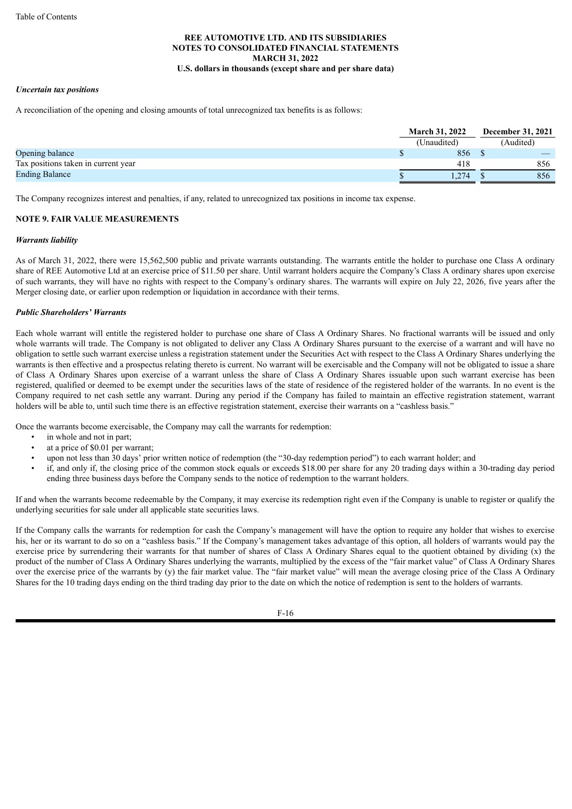#### *Uncertain tax positions*

A reconciliation of the opening and closing amounts of total unrecognized tax benefits is as follows:

|                                     | <b>March 31, 2022</b> |             |  | <b>December 31, 2021</b> |  |  |
|-------------------------------------|-----------------------|-------------|--|--------------------------|--|--|
|                                     |                       | (Unaudited) |  | Audited)                 |  |  |
| Opening balance                     |                       | 856         |  |                          |  |  |
| Tax positions taken in current year |                       | 418         |  | 856                      |  |  |
| <b>Ending Balance</b>               |                       | 274         |  | 856                      |  |  |

The Company recognizes interest and penalties, if any, related to unrecognized tax positions in income tax expense.

#### **NOTE 9. FAIR VALUE MEASUREMENTS**

#### *Warrants liability*

As of March 31, 2022, there were 15,562,500 public and private warrants outstanding. The warrants entitle the holder to purchase one Class A ordinary share of REE Automotive Ltd at an exercise price of \$11.50 per share. Until warrant holders acquire the Company's Class A ordinary shares upon exercise of such warrants, they will have no rights with respect to the Company's ordinary shares. The warrants will expire on July 22, 2026, five years after the Merger closing date, or earlier upon redemption or liquidation in accordance with their terms.

#### *Public Shareholders' Warrants*

Each whole warrant will entitle the registered holder to purchase one share of Class A Ordinary Shares. No fractional warrants will be issued and only whole warrants will trade. The Company is not obligated to deliver any Class A Ordinary Shares pursuant to the exercise of a warrant and will have no obligation to settle such warrant exercise unless a registration statement under the Securities Act with respect to the Class A Ordinary Shares underlying the warrants is then effective and a prospectus relating thereto is current. No warrant will be exercisable and the Company will not be obligated to issue a share of Class A Ordinary Shares upon exercise of a warrant unless the share of Class A Ordinary Shares issuable upon such warrant exercise has been registered, qualified or deemed to be exempt under the securities laws of the state of residence of the registered holder of the warrants. In no event is the Company required to net cash settle any warrant. During any period if the Company has failed to maintain an effective registration statement, warrant holders will be able to, until such time there is an effective registration statement, exercise their warrants on a "cashless basis."

Once the warrants become exercisable, the Company may call the warrants for redemption:

- in whole and not in part;
- at a price of \$0.01 per warrant;
- upon not less than 30 days' prior written notice of redemption (the "30-day redemption period") to each warrant holder; and
- if, and only if, the closing price of the common stock equals or exceeds \$18.00 per share for any 20 trading days within a 30-trading day period ending three business days before the Company sends to the notice of redemption to the warrant holders.

If and when the warrants become redeemable by the Company, it may exercise its redemption right even if the Company is unable to register or qualify the underlying securities for sale under all applicable state securities laws.

If the Company calls the warrants for redemption for cash the Company's management will have the option to require any holder that wishes to exercise his, her or its warrant to do so on a "cashless basis." If the Company's management takes advantage of this option, all holders of warrants would pay the exercise price by surrendering their warrants for that number of shares of Class A Ordinary Shares equal to the quotient obtained by dividing (x) the product of the number of Class A Ordinary Shares underlying the warrants, multiplied by the excess of the "fair market value" of Class A Ordinary Shares over the exercise price of the warrants by (y) the fair market value. The "fair market value" will mean the average closing price of the Class A Ordinary Shares for the 10 trading days ending on the third trading day prior to the date on which the notice of redemption is sent to the holders of warrants.

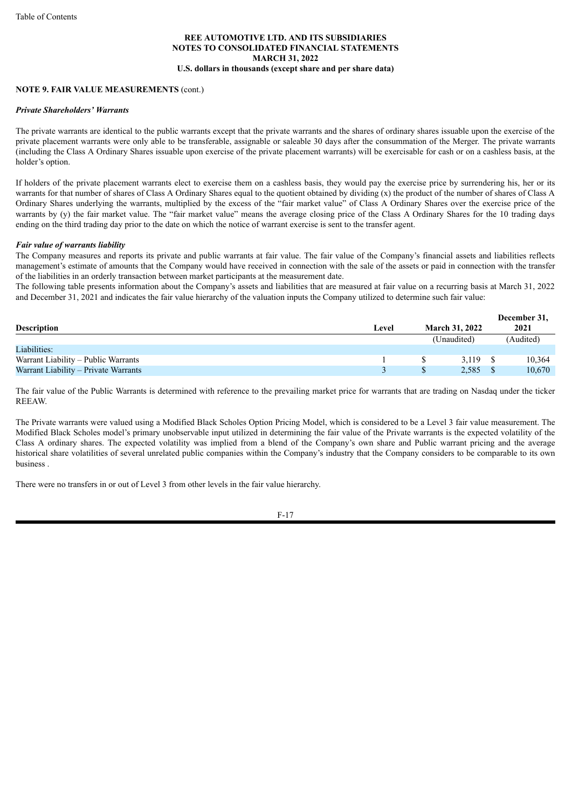#### **NOTE 9. FAIR VALUE MEASUREMENTS** (cont.)

#### *Private Shareholders' Warrants*

The private warrants are identical to the public warrants except that the private warrants and the shares of ordinary shares issuable upon the exercise of the private placement warrants were only able to be transferable, assignable or saleable 30 days after the consummation of the Merger. The private warrants (including the Class A Ordinary Shares issuable upon exercise of the private placement warrants) will be exercisable for cash or on a cashless basis, at the holder's option.

If holders of the private placement warrants elect to exercise them on a cashless basis, they would pay the exercise price by surrendering his, her or its warrants for that number of shares of Class A Ordinary Shares equal to the quotient obtained by dividing (x) the product of the number of shares of Class A Ordinary Shares underlying the warrants, multiplied by the excess of the "fair market value" of Class A Ordinary Shares over the exercise price of the warrants by (y) the fair market value. The "fair market value" means the average closing price of the Class A Ordinary Shares for the 10 trading days ending on the third trading day prior to the date on which the notice of warrant exercise is sent to the transfer agent.

#### *Fair value of warrants liability*

The Company measures and reports its private and public warrants at fair value. The fair value of the Company's financial assets and liabilities reflects management's estimate of amounts that the Company would have received in connection with the sale of the assets or paid in connection with the transfer of the liabilities in an orderly transaction between market participants at the measurement date.

The following table presents information about the Company's assets and liabilities that are measured at fair value on a recurring basis at March 31, 2022 and December 31, 2021 and indicates the fair value hierarchy of the valuation inputs the Company utilized to determine such fair value:

| <b>Description</b>                   | Level | <b>March 31, 2022</b> | December 31,<br>2021 |
|--------------------------------------|-------|-----------------------|----------------------|
|                                      |       | (Unaudited)           | (Audited)            |
| Liabilities:                         |       |                       |                      |
| Warrant Liability – Public Warrants  |       | 3.119                 | 10.364               |
| Warrant Liability – Private Warrants |       | 2,585                 | 10,670               |

The fair value of the Public Warrants is determined with reference to the prevailing market price for warrants that are trading on Nasdaq under the ticker **REEAW** 

The Private warrants were valued using a Modified Black Scholes Option Pricing Model, which is considered to be a Level 3 fair value measurement. The Modified Black Scholes model's primary unobservable input utilized in determining the fair value of the Private warrants is the expected volatility of the Class A ordinary shares. The expected volatility was implied from a blend of the Company's own share and Public warrant pricing and the average historical share volatilities of several unrelated public companies within the Company's industry that the Company considers to be comparable to its own business .

There were no transfers in or out of Level 3 from other levels in the fair value hierarchy.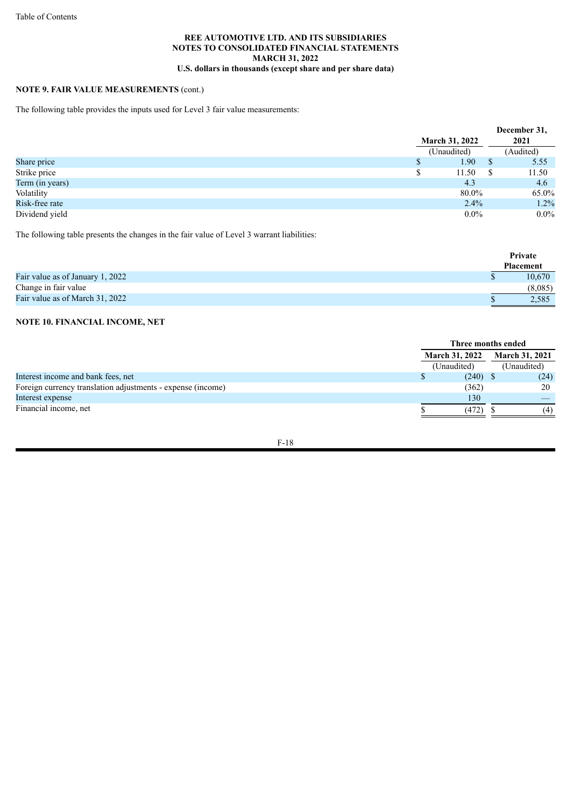# **NOTE 9. FAIR VALUE MEASUREMENTS** (cont.)

The following table provides the inputs used for Level 3 fair value measurements:

|                 |                       |              | December 31. |
|-----------------|-----------------------|--------------|--------------|
|                 | <b>March 31, 2022</b> |              | 2021         |
|                 | (Unaudited)           |              | (Audited)    |
| Share price     | 1.90                  | S            | 5.55         |
| Strike price    | 11.50                 | <sup>S</sup> | 11.50        |
| Term (in years) | 4.3                   |              | 4.6          |
| Volatility      | 80.0%                 |              | 65.0%        |
| Risk-free rate  | 2.4%                  |              | 1.2%         |
| Dividend yield  | $0.0\%$               |              | $0.0\%$      |

The following table presents the changes in the fair value of Level 3 warrant liabilities:

|                                  | Private          |
|----------------------------------|------------------|
|                                  | <b>Placement</b> |
| Fair value as of January 1, 2022 | 10.670           |
| Change in fair value             | (8,085)          |
| Fair value as of March 31, 2022  | 2,585            |

# **NOTE 10. FINANCIAL INCOME, NET**

|                                                             | Three months ended    |             |                       |             |
|-------------------------------------------------------------|-----------------------|-------------|-----------------------|-------------|
|                                                             | <b>March 31, 2022</b> |             | <b>March 31, 2021</b> |             |
|                                                             |                       | (Unaudited) |                       | (Unaudited) |
| Interest income and bank fees, net                          |                       | (240)       |                       | (24)        |
| Foreign currency translation adjustments - expense (income) |                       | (362)       |                       | 20          |
| Interest expense                                            |                       | 130         |                       |             |
| Financial income, net                                       |                       | (472)       |                       | (4)         |